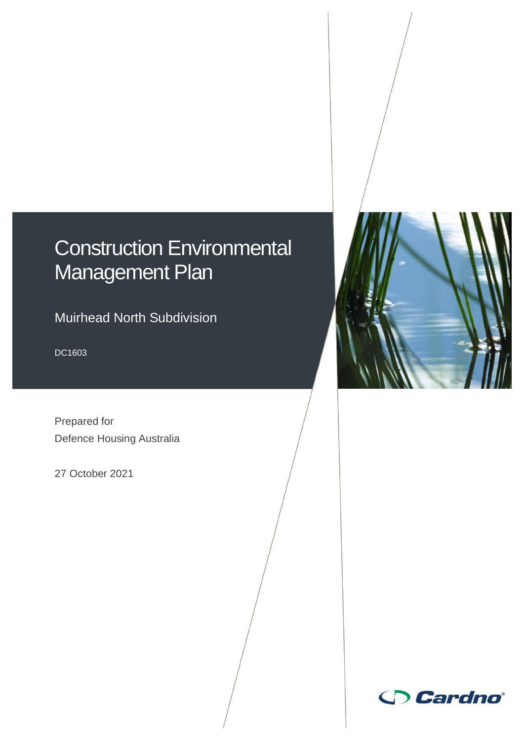# Construction Environmental Management Plan

Muirhead North Subdivision

DC1603

Prepared for Defence Housing Australia

27 October 2021



 $\Box$ 

Muirhead North Subdivision

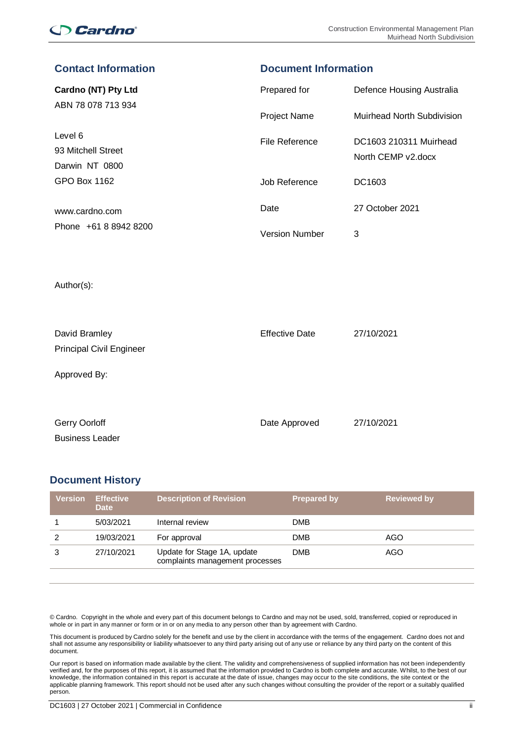## **Cardno**

| Contact information                              | <b>Document Information</b> |                                              |  |
|--------------------------------------------------|-----------------------------|----------------------------------------------|--|
| Cardno (NT) Pty Ltd                              | Prepared for                | Defence Housing Australia                    |  |
| ABN 78 078 713 934                               | Project Name                | Muirhead North Subdivision                   |  |
| Level 6<br>93 Mitchell Street<br>Darwin NT 0800  | File Reference              | DC1603 210311 Muirhead<br>North CEMP v2.docx |  |
| <b>GPO Box 1162</b>                              | Job Reference               | DC1603                                       |  |
| www.cardno.com                                   | Date                        | 27 October 2021                              |  |
| Phone +61 8 8942 8200                            | <b>Version Number</b>       | 3                                            |  |
| Author(s):                                       |                             |                                              |  |
| David Bramley<br><b>Principal Civil Engineer</b> | <b>Effective Date</b>       | 27/10/2021                                   |  |
| Approved By:                                     |                             |                                              |  |

**Contact Information Document Information**

| Gerry Oorloff          | Date Approved | 27/10/2021 |
|------------------------|---------------|------------|
| <b>Business Leader</b> |               |            |

## **Document History**

| <b>Version</b> | <b>Effective</b><br><b>Date</b> | <b>Description of Revision</b>                                 | <b>Prepared by</b> | <b>Reviewed by</b> |
|----------------|---------------------------------|----------------------------------------------------------------|--------------------|--------------------|
|                | 5/03/2021                       | Internal review                                                | <b>DMB</b>         |                    |
|                | 19/03/2021                      | For approval                                                   | <b>DMB</b>         | AGO                |
|                | 27/10/2021                      | Update for Stage 1A, update<br>complaints management processes | <b>DMB</b>         | AGO                |

© Cardno. Copyright in the whole and every part of this document belongs to Cardno and may not be used, sold, transferred, copied or reproduced in whole or in part in any manner or form or in or on any media to any person other than by agreement with Cardno.

This document is produced by Cardno solely for the benefit and use by the client in accordance with the terms of the engagement. Cardno does not and shall not assume any responsibility or liability whatsoever to any third party arising out of any use or reliance by any third party on the content of this document.

Our report is based on information made available by the client. The validity and comprehensiveness of supplied information has not been independently verified and, for the purposes of this report, it is assumed that the information provided to Cardno is both complete and accurate. Whilst, to the best of our knowledge, the information contained in this report is accurate at the date of issue, changes may occur to the site conditions, the site context or the applicable planning framework. This report should not be used after any such changes without consulting the provider of the report or a suitably qualified person.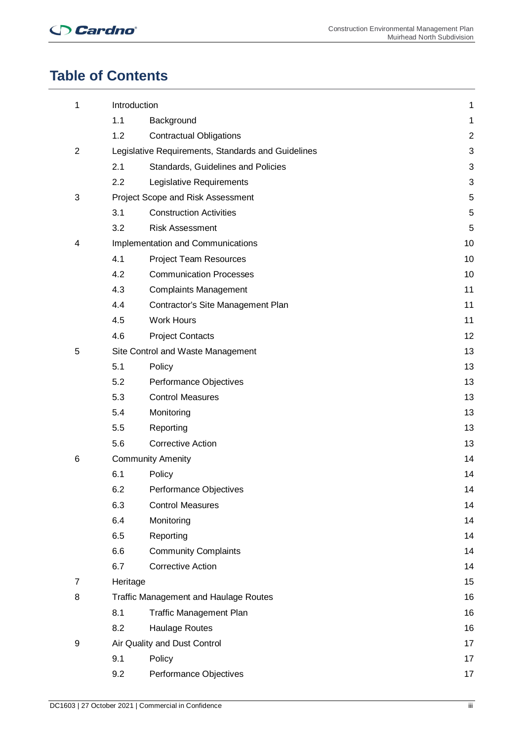## **Table of Contents**

| 1              | Introduction             |                                                    | 1              |
|----------------|--------------------------|----------------------------------------------------|----------------|
|                | 1.1                      | Background                                         | 1              |
|                | 1.2                      | <b>Contractual Obligations</b>                     | $\overline{2}$ |
| $\overline{2}$ |                          | Legislative Requirements, Standards and Guidelines | 3              |
|                | 2.1                      | Standards, Guidelines and Policies                 | 3              |
|                | $2.2\phantom{0}$         | Legislative Requirements                           | 3              |
| 3              |                          | Project Scope and Risk Assessment                  | 5              |
|                | 3.1                      | <b>Construction Activities</b>                     | 5              |
|                | 3.2                      | <b>Risk Assessment</b>                             | 5              |
| 4              |                          | Implementation and Communications                  | 10             |
|                | 4.1                      | <b>Project Team Resources</b>                      | 10             |
|                | 4.2                      | <b>Communication Processes</b>                     | 10             |
|                | 4.3                      | <b>Complaints Management</b>                       | 11             |
|                | 4.4                      | Contractor's Site Management Plan                  | 11             |
|                | 4.5                      | <b>Work Hours</b>                                  | 11             |
|                | 4.6                      | <b>Project Contacts</b>                            | 12             |
| 5              |                          | Site Control and Waste Management                  | 13             |
|                | 5.1                      | Policy                                             | 13             |
|                | 5.2                      | Performance Objectives                             | 13             |
|                | 5.3                      | <b>Control Measures</b>                            | 13             |
|                | 5.4                      | Monitoring                                         | 13             |
|                | 5.5                      | Reporting                                          | 13             |
|                | 5.6                      | <b>Corrective Action</b>                           | 13             |
| 6              | <b>Community Amenity</b> |                                                    | 14             |
|                | 6.1                      | Policy                                             | 14             |
|                | 6.2                      | Performance Objectives                             | 14             |
|                | 6.3                      | <b>Control Measures</b>                            | 14             |
|                | 6.4                      | Monitoring                                         | 14             |
|                | 6.5                      | Reporting                                          | 14             |
|                | 6.6                      | <b>Community Complaints</b>                        | 14             |
|                | 6.7                      | <b>Corrective Action</b>                           | 14             |
| 7              | Heritage                 |                                                    | 15             |
| 8              |                          | <b>Traffic Management and Haulage Routes</b>       | 16             |
|                | 8.1                      | <b>Traffic Management Plan</b>                     | 16             |
|                | 8.2                      | <b>Haulage Routes</b>                              | 16             |
| 9              |                          | Air Quality and Dust Control                       | 17             |
|                | 9.1                      | Policy                                             | 17             |
|                | 9.2                      | Performance Objectives                             | 17             |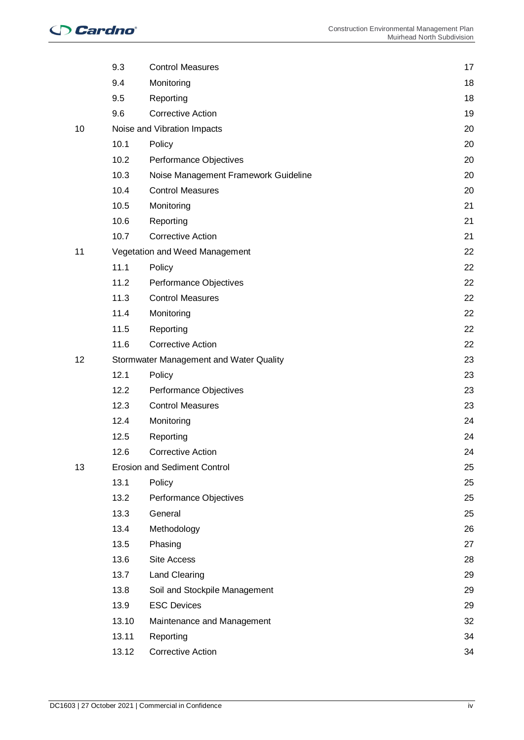|    | 9.3   | <b>Control Measures</b>                 | 17 |
|----|-------|-----------------------------------------|----|
|    | 9.4   | Monitoring                              | 18 |
|    | 9.5   | Reporting                               | 18 |
|    | 9.6   | <b>Corrective Action</b>                | 19 |
| 10 |       | Noise and Vibration Impacts             | 20 |
|    | 10.1  | Policy                                  | 20 |
|    | 10.2  | Performance Objectives                  | 20 |
|    | 10.3  | Noise Management Framework Guideline    | 20 |
|    | 10.4  | <b>Control Measures</b>                 | 20 |
|    | 10.5  | Monitoring                              | 21 |
|    | 10.6  | Reporting                               | 21 |
|    | 10.7  | <b>Corrective Action</b>                | 21 |
| 11 |       | Vegetation and Weed Management          | 22 |
|    | 11.1  | Policy                                  | 22 |
|    | 11.2  | Performance Objectives                  | 22 |
|    | 11.3  | <b>Control Measures</b>                 | 22 |
|    | 11.4  | Monitoring                              | 22 |
|    | 11.5  | Reporting                               | 22 |
|    | 11.6  | <b>Corrective Action</b>                | 22 |
| 12 |       | Stormwater Management and Water Quality | 23 |
|    | 12.1  | Policy                                  | 23 |
|    | 12.2  | Performance Objectives                  | 23 |
|    | 12.3  | <b>Control Measures</b>                 | 23 |
|    | 12.4  | Monitoring                              | 24 |
|    | 12.5  | Reporting                               | 24 |
|    | 12.6  | Corrective Action                       | 24 |
| 13 |       | <b>Erosion and Sediment Control</b>     | 25 |
|    | 13.1  | Policy                                  | 25 |
|    | 13.2  | Performance Objectives                  | 25 |
|    | 13.3  | General                                 | 25 |
|    | 13.4  | Methodology                             | 26 |
|    | 13.5  | Phasing                                 | 27 |
|    | 13.6  | Site Access                             | 28 |
|    | 13.7  | Land Clearing                           | 29 |
|    | 13.8  | Soil and Stockpile Management           | 29 |
|    | 13.9  | <b>ESC Devices</b>                      | 29 |
|    | 13.10 | Maintenance and Management              | 32 |
|    | 13.11 | Reporting                               | 34 |
|    | 13.12 | <b>Corrective Action</b>                | 34 |
|    |       |                                         |    |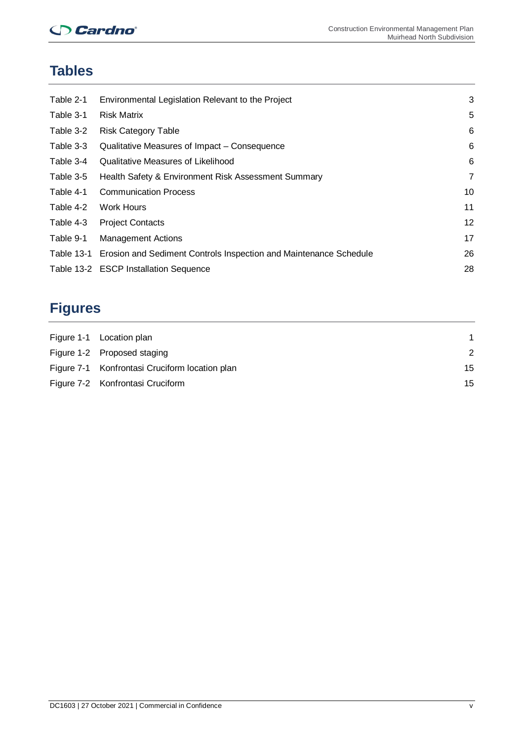## **Cardno**

## **Tables**

| Table 2-1  | Environmental Legislation Relevant to the Project                 | 3  |
|------------|-------------------------------------------------------------------|----|
| Table 3-1  | <b>Risk Matrix</b>                                                | 5  |
| Table 3-2  | <b>Risk Category Table</b>                                        | 6  |
| Table 3-3  | Qualitative Measures of Impact - Consequence                      | 6  |
| Table 3-4  | Qualitative Measures of Likelihood                                | 6  |
| Table 3-5  | Health Safety & Environment Risk Assessment Summary               | 7  |
| Table 4-1  | <b>Communication Process</b>                                      | 10 |
| Table 4-2  | Work Hours                                                        | 11 |
| Table 4-3  | <b>Project Contacts</b>                                           | 12 |
| Table 9-1  | <b>Management Actions</b>                                         | 17 |
| Table 13-1 | Erosion and Sediment Controls Inspection and Maintenance Schedule | 26 |
|            | Table 13-2 ESCP Installation Sequence                             | 28 |
|            |                                                                   |    |

## **Figures**

| Figure 1-1 Location plan                       |    |
|------------------------------------------------|----|
| Figure 1-2 Proposed staging                    | 2  |
| Figure 7-1 Konfrontasi Cruciform location plan | 15 |
| Figure 7-2 Konfrontasi Cruciform               | 15 |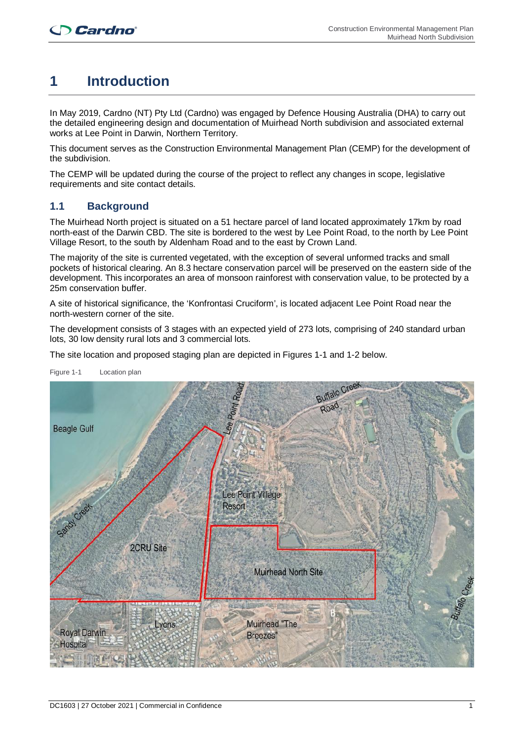## **1 Introduction**

In May 2019, Cardno (NT) Pty Ltd (Cardno) was engaged by Defence Housing Australia (DHA) to carry out the detailed engineering design and documentation of Muirhead North subdivision and associated external works at Lee Point in Darwin, Northern Territory.

This document serves as the Construction Environmental Management Plan (CEMP) for the development of the subdivision.

The CEMP will be updated during the course of the project to reflect any changes in scope, legislative requirements and site contact details.

## **1.1 Background**

The Muirhead North project is situated on a 51 hectare parcel of land located approximately 17km by road north-east of the Darwin CBD. The site is bordered to the west by Lee Point Road, to the north by Lee Point Village Resort, to the south by Aldenham Road and to the east by Crown Land.

The majority of the site is currented vegetated, with the exception of several unformed tracks and small pockets of historical clearing. An 8.3 hectare conservation parcel will be preserved on the eastern side of the development. This incorporates an area of monsoon rainforest with conservation value, to be protected by a 25m conservation buffer.

A site of historical significance, the 'Konfrontasi Cruciform', is located adjacent Lee Point Road near the north-western corner of the site.

The development consists of 3 stages with an expected yield of 273 lots, comprising of 240 standard urban lots, 30 low density rural lots and 3 commercial lots.

The site location and proposed staging plan are depicted in Figures 1-1 and 1-2 below.



Figure 1-1 Location plan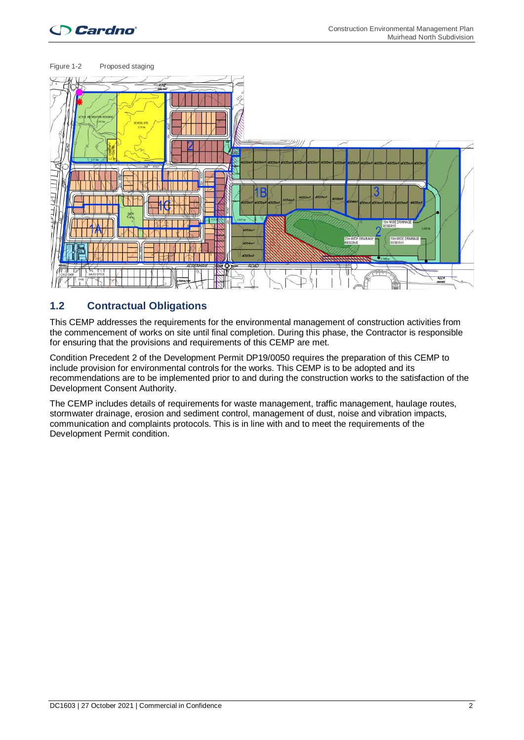## **Cardno**



## **1.2 Contractual Obligations**

This CEMP addresses the requirements for the environmental management of construction activities from the commencement of works on site until final completion. During this phase, the Contractor is responsible for ensuring that the provisions and requirements of this CEMP are met.

Condition Precedent 2 of the Development Permit DP19/0050 requires the preparation of this CEMP to include provision for environmental controls for the works. This CEMP is to be adopted and its recommendations are to be implemented prior to and during the construction works to the satisfaction of the Development Consent Authority.

The CEMP includes details of requirements for waste management, traffic management, haulage routes, stormwater drainage, erosion and sediment control, management of dust, noise and vibration impacts, communication and complaints protocols. This is in line with and to meet the requirements of the Development Permit condition.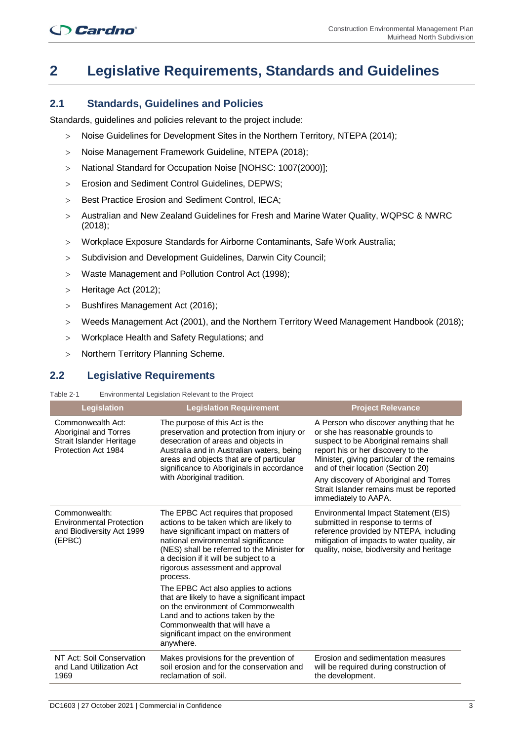## **2 Legislative Requirements, Standards and Guidelines**

#### **2.1 Standards, Guidelines and Policies**

Standards, guidelines and policies relevant to the project include:

- > Noise Guidelines for Development Sites in the Northern Territory, NTEPA (2014);
- > Noise Management Framework Guideline, NTEPA (2018);
- > National Standard for Occupation Noise [NOHSC: 1007(2000)];
- > Erosion and Sediment Control Guidelines, DEPWS;
- > Best Practice Erosion and Sediment Control, IECA;
- > Australian and New Zealand Guidelines for Fresh and Marine Water Quality, WQPSC & NWRC (2018);
- > Workplace Exposure Standards for Airborne Contaminants, Safe Work Australia;
- > Subdivision and Development Guidelines, Darwin City Council;
- > Waste Management and Pollution Control Act (1998);
- > Heritage Act (2012);
- > Bushfires Management Act (2016);
- > Weeds Management Act (2001), and the Northern Territory Weed Management Handbook (2018);
- > Workplace Health and Safety Regulations; and
- > Northern Territory Planning Scheme.

#### **2.2 Legislative Requirements**

#### Table 2-1 Environmental Legislation Relevant to the Project

| <b>Legislation</b>                                                                            | <b>Legislation Requirement</b>                                                                                                                                                                                                                                                                                                                                                                                                                                                                                                                                  | <b>Project Relevance</b>                                                                                                                                                                                                                                                                                                                                     |
|-----------------------------------------------------------------------------------------------|-----------------------------------------------------------------------------------------------------------------------------------------------------------------------------------------------------------------------------------------------------------------------------------------------------------------------------------------------------------------------------------------------------------------------------------------------------------------------------------------------------------------------------------------------------------------|--------------------------------------------------------------------------------------------------------------------------------------------------------------------------------------------------------------------------------------------------------------------------------------------------------------------------------------------------------------|
| Commonwealth Act:<br>Aboriginal and Torres<br>Strait Islander Heritage<br>Protection Act 1984 | The purpose of this Act is the<br>preservation and protection from injury or<br>desecration of areas and objects in<br>Australia and in Australian waters, being<br>areas and objects that are of particular<br>significance to Aboriginals in accordance<br>with Aboriginal tradition.                                                                                                                                                                                                                                                                         | A Person who discover anything that he<br>or she has reasonable grounds to<br>suspect to be Aboriginal remains shall<br>report his or her discovery to the<br>Minister, giving particular of the remains<br>and of their location (Section 20)<br>Any discovery of Aboriginal and Torres<br>Strait Islander remains must be reported<br>immediately to AAPA. |
| Commonwealth:<br><b>Environmental Protection</b><br>and Biodiversity Act 1999<br>(EPBC)       | The EPBC Act requires that proposed<br>actions to be taken which are likely to<br>have significant impact on matters of<br>national environmental significance<br>(NES) shall be referred to the Minister for<br>a decision if it will be subject to a<br>rigorous assessment and approval<br>process.<br>The EPBC Act also applies to actions<br>that are likely to have a significant impact<br>on the environment of Commonwealth<br>Land and to actions taken by the<br>Commonwealth that will have a<br>significant impact on the environment<br>anywhere. | Environmental Impact Statement (EIS)<br>submitted in response to terms of<br>reference provided by NTEPA, including<br>mitigation of impacts to water quality, air<br>quality, noise, biodiversity and heritage                                                                                                                                              |
| NT Act: Soil Conservation<br>and Land Utilization Act<br>1969                                 | Makes provisions for the prevention of<br>soil erosion and for the conservation and<br>reclamation of soil.                                                                                                                                                                                                                                                                                                                                                                                                                                                     | Erosion and sedimentation measures<br>will be required during construction of<br>the development.                                                                                                                                                                                                                                                            |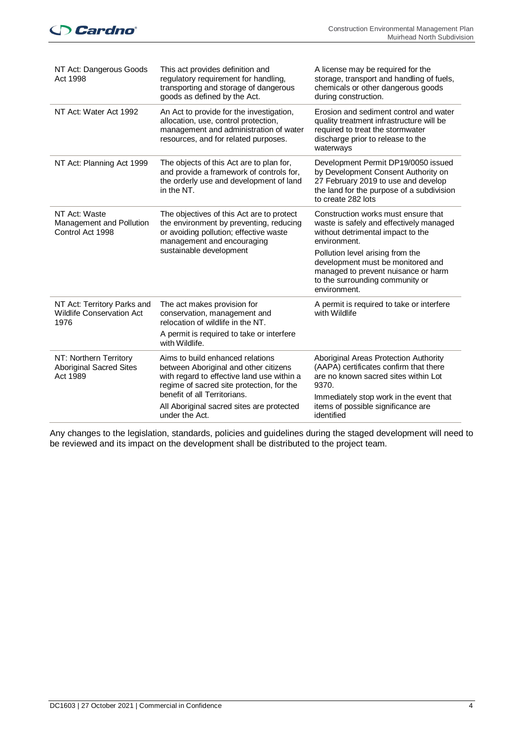## **Cardno**

| NT Act: Dangerous Goods<br>Act 1998                                     | This act provides definition and<br>regulatory requirement for handling,<br>transporting and storage of dangerous<br>goods as defined by the Act.                                                    | A license may be required for the<br>storage, transport and handling of fuels,<br>chemicals or other dangerous goods<br>during construction.                                         |
|-------------------------------------------------------------------------|------------------------------------------------------------------------------------------------------------------------------------------------------------------------------------------------------|--------------------------------------------------------------------------------------------------------------------------------------------------------------------------------------|
| NT Act: Water Act 1992                                                  | An Act to provide for the investigation,<br>allocation, use, control protection,<br>management and administration of water<br>resources, and for related purposes.                                   | Erosion and sediment control and water<br>quality treatment infrastructure will be<br>required to treat the stormwater<br>discharge prior to release to the<br>waterways             |
| NT Act: Planning Act 1999                                               | The objects of this Act are to plan for,<br>and provide a framework of controls for,<br>the orderly use and development of land<br>in the NT.                                                        | Development Permit DP19/0050 issued<br>by Development Consent Authority on<br>27 February 2019 to use and develop<br>the land for the purpose of a subdivision<br>to create 282 lots |
| NT Act: Waste<br>Management and Pollution<br>Control Act 1998           | The objectives of this Act are to protect<br>the environment by preventing, reducing<br>or avoiding pollution; effective waste<br>management and encouraging                                         | Construction works must ensure that<br>waste is safely and effectively managed<br>without detrimental impact to the<br>environment.                                                  |
|                                                                         | sustainable development                                                                                                                                                                              | Pollution level arising from the<br>development must be monitored and<br>managed to prevent nuisance or harm<br>to the surrounding community or<br>environment.                      |
| NT Act: Territory Parks and<br><b>Wildlife Conservation Act</b><br>1976 | The act makes provision for<br>conservation, management and<br>relocation of wildlife in the NT.                                                                                                     | A permit is required to take or interfere<br>with Wildlife                                                                                                                           |
|                                                                         | A permit is required to take or interfere<br>with Wildlife.                                                                                                                                          |                                                                                                                                                                                      |
| NT: Northern Territory<br><b>Aboriginal Sacred Sites</b><br>Act 1989    | Aims to build enhanced relations<br>between Aboriginal and other citizens<br>with regard to effective land use within a<br>regime of sacred site protection, for the<br>benefit of all Territorians. | Aboriginal Areas Protection Authority<br>(AAPA) certificates confirm that there<br>are no known sacred sites within Lot<br>9370.                                                     |
|                                                                         | All Aboriginal sacred sites are protected<br>under the Act.                                                                                                                                          | Immediately stop work in the event that<br>items of possible significance are<br>identified                                                                                          |

Any changes to the legislation, standards, policies and guidelines during the staged development will need to be reviewed and its impact on the development shall be distributed to the project team.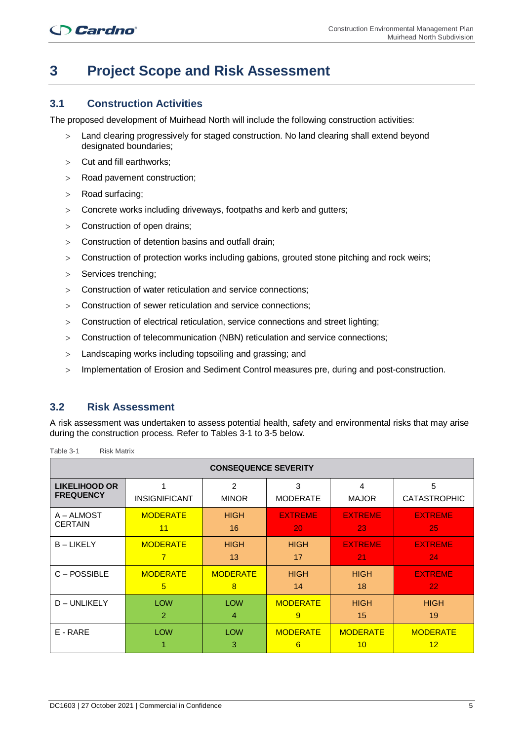## **3 Project Scope and Risk Assessment**

### **3.1 Construction Activities**

The proposed development of Muirhead North will include the following construction activities:

- > Land clearing progressively for staged construction. No land clearing shall extend beyond designated boundaries;
- > Cut and fill earthworks;
- > Road pavement construction;
- > Road surfacing;
- > Concrete works including driveways, footpaths and kerb and gutters;
- > Construction of open drains;
- > Construction of detention basins and outfall drain;
- > Construction of protection works including gabions, grouted stone pitching and rock weirs;
- > Services trenching;
- > Construction of water reticulation and service connections;
- > Construction of sewer reticulation and service connections;
- > Construction of electrical reticulation, service connections and street lighting;
- > Construction of telecommunication (NBN) reticulation and service connections;
- > Landscaping works including topsoiling and grassing; and
- > Implementation of Erosion and Sediment Control measures pre, during and post-construction.

#### **3.2 Risk Assessment**

A risk assessment was undertaken to assess potential health, safety and environmental risks that may arise during the construction process. Refer to Tables 3-1 to 3-5 below.

| <b>CONSEQUENCE SEVERITY</b> |                      |                 |                      |                                    |                       |
|-----------------------------|----------------------|-----------------|----------------------|------------------------------------|-----------------------|
| <b>LIKELIHOOD OR</b>        | 1                    | $\overline{2}$  | 3                    | 4                                  | 5                     |
| <b>FREQUENCY</b>            | <b>INSIGNIFICANT</b> | <b>MINOR</b>    | <b>MODERATE</b>      | <b>MAJOR</b>                       | <b>CATASTROPHIC</b>   |
| A – ALMOST                  | <b>MODERATE</b>      | <b>HIGH</b>     | <b>EXTREME</b>       | <b>EXTREME</b>                     | <b>EXTREME</b>        |
| <b>CERTAIN</b>              | 11                   | 16              | 20                   | 23                                 | 25                    |
| <b>B-LIKELY</b>             | <b>MODERATE</b>      | <b>HIGH</b>     | <b>HIGH</b>          | <b>EXTREME</b>                     | <b>EXTREME</b>        |
|                             | 7                    | 13              | 17                   | 21                                 | 24                    |
| C-POSSIBLE                  | <b>MODERATE</b>      | <b>MODERATE</b> | <b>HIGH</b>          | <b>HIGH</b>                        | <b>EXTREME</b>        |
|                             | 5                    | 8               | 14                   | 18                                 | 22 <sub>2</sub>       |
| D - UNLIKELY                | <b>LOW</b>           | <b>LOW</b>      | <b>MODERATE</b>      | <b>HIGH</b>                        | <b>HIGH</b>           |
|                             | $\overline{2}$       | 4               | 9                    | 15                                 | 19                    |
| E - RARE                    | <b>LOW</b>           | <b>LOW</b><br>3 | <b>MODERATE</b><br>6 | <b>MODERATE</b><br>10 <sup>°</sup> | <b>MODERATE</b><br>12 |

Table 3-1 Risk Matrix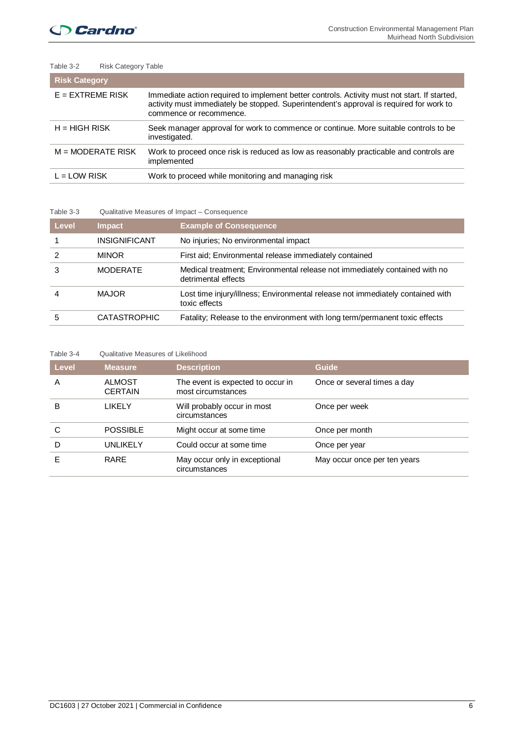| Table 3-2            | <b>Risk Category Table</b>                                                                                                                                                                                         |
|----------------------|--------------------------------------------------------------------------------------------------------------------------------------------------------------------------------------------------------------------|
| <b>Risk Category</b> |                                                                                                                                                                                                                    |
| $E = EXTREME RISK$   | Immediate action required to implement better controls. Activity must not start. If started,<br>activity must immediately be stopped. Superintendent's approval is required for work to<br>commence or recommence. |
| $H = HIGH RISK$      | Seek manager approval for work to commence or continue. More suitable controls to be<br>investigated.                                                                                                              |
| $M = MODERATE$ RISK  | Work to proceed once risk is reduced as low as reasonably practicable and controls are<br>implemented                                                                                                              |
| $L = LOW RISK$       | Work to proceed while monitoring and managing risk                                                                                                                                                                 |

#### Table 3-3 Qualitative Measures of Impact – Consequence

| Level | <b>Impact</b>        | <b>Example of Consequence</b>                                                                     |
|-------|----------------------|---------------------------------------------------------------------------------------------------|
|       | <b>INSIGNIFICANT</b> | No injuries; No environmental impact                                                              |
|       | <b>MINOR</b>         | First aid: Environmental release immediately contained                                            |
|       | <b>MODERATE</b>      | Medical treatment; Environmental release not immediately contained with no<br>detrimental effects |
|       | MAJOR                | Lost time injury/illness; Environmental release not immediately contained with<br>toxic effects   |
|       | <b>CATASTROPHIC</b>  | Fatality; Release to the environment with long term/permanent toxic effects                       |

#### Table 3-4 Qualitative Measures of Likelihood

| Level | <b>Measure</b>                  | <b>Description</b>                                      | Guide                        |
|-------|---------------------------------|---------------------------------------------------------|------------------------------|
| A     | <b>ALMOST</b><br><b>CERTAIN</b> | The event is expected to occur in<br>most circumstances | Once or several times a day  |
| в     | LIKELY                          | Will probably occur in most<br>circumstances            | Once per week                |
| С     | <b>POSSIBLE</b>                 | Might occur at some time                                | Once per month               |
| D     | UNLIKELY                        | Could occur at some time                                | Once per year                |
|       | <b>RARE</b>                     | May occur only in exceptional<br>circumstances          | May occur once per ten years |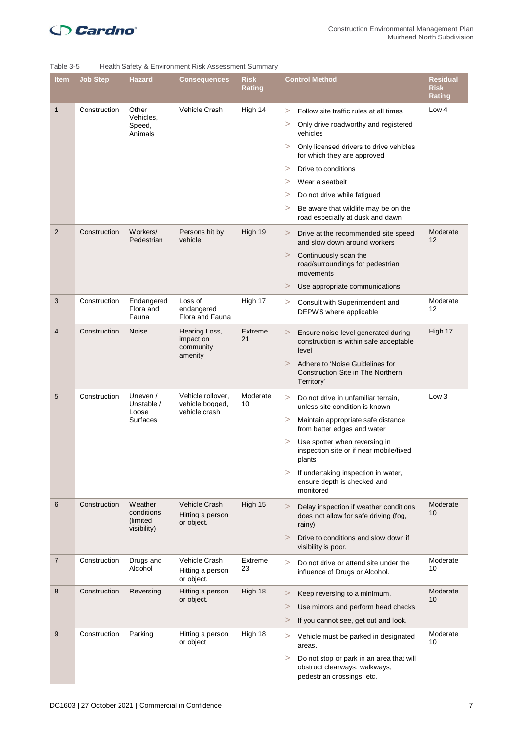| <b>Item</b>    | <b>Job Step</b> | Hazard                            | <b>Consequences</b>                             | <b>Risk</b><br><b>Rating</b> |          | <b>Control Method</b>                                                                                   | <b>Residual</b><br><b>Risk</b><br><b>Rating</b> |
|----------------|-----------------|-----------------------------------|-------------------------------------------------|------------------------------|----------|---------------------------------------------------------------------------------------------------------|-------------------------------------------------|
| $\mathbf{1}$   | Construction    | Other                             | Vehicle Crash                                   | High 14                      | $\rm{>}$ | Follow site traffic rules at all times                                                                  | Low 4                                           |
|                |                 | Vehicles,<br>Speed,<br>Animals    |                                                 |                              | >        | Only drive roadworthy and registered<br>vehicles                                                        |                                                 |
|                |                 |                                   |                                                 |                              |          | Only licensed drivers to drive vehicles<br>for which they are approved                                  |                                                 |
|                |                 |                                   |                                                 |                              | >        | Drive to conditions                                                                                     |                                                 |
|                |                 |                                   |                                                 |                              | >        | Wear a seatbelt                                                                                         |                                                 |
|                |                 |                                   |                                                 |                              | >        | Do not drive while fatigued                                                                             |                                                 |
|                |                 |                                   |                                                 |                              | >        | Be aware that wildlife may be on the<br>road especially at dusk and dawn                                |                                                 |
| $\overline{2}$ | Construction    | Workers/<br>Pedestrian            | Persons hit by<br>vehicle                       | High 19                      | >        | Drive at the recommended site speed<br>and slow down around workers                                     | Moderate<br>12                                  |
|                |                 |                                   |                                                 |                              | $\rm{>}$ | Continuously scan the<br>road/surroundings for pedestrian<br>movements                                  |                                                 |
|                |                 |                                   |                                                 |                              | >        | Use appropriate communications                                                                          |                                                 |
| 3              | Construction    | Endangered<br>Flora and<br>Fauna  | Loss of<br>endangered<br>Flora and Fauna        | High 17                      | >        | Consult with Superintendent and<br>DEPWS where applicable                                               | Moderate<br>12                                  |
| 4              | Construction    | Noise                             | Hearing Loss,<br>impact on<br>community         | Extreme<br>21                | >        | Ensure noise level generated during<br>construction is within safe acceptable<br>level                  | High 17                                         |
|                |                 |                                   | amenity                                         |                              | >        | Adhere to 'Noise Guidelines for<br><b>Construction Site in The Northern</b><br>Territory'               |                                                 |
| 5              | Construction    | Uneven /<br>Unstable /            | Vehicle rollover,<br>vehicle bogged,            | Moderate<br>10               | >        | Do not drive in unfamiliar terrain,<br>unless site condition is known                                   | Low <sub>3</sub>                                |
|                |                 | Loose<br>Surfaces                 | vehicle crash                                   |                              | >        | Maintain appropriate safe distance<br>from batter edges and water                                       |                                                 |
|                |                 |                                   |                                                 |                              | >        | Use spotter when reversing in<br>inspection site or if near mobile/fixed<br>plants                      |                                                 |
|                |                 |                                   |                                                 |                              | >        | If undertaking inspection in water,<br>ensure depth is checked and<br>monitored                         |                                                 |
| 6              | Construction    | Weather<br>conditions<br>(limited | Vehicle Crash<br>Hitting a person<br>or object. | High 15                      | >        | Delay inspection if weather conditions<br>does not allow for safe driving (fog,<br>rainy)               | Moderate<br>10                                  |
|                |                 | visibility)                       |                                                 |                              | >        | Drive to conditions and slow down if<br>visibility is poor.                                             |                                                 |
| $\overline{7}$ | Construction    | Drugs and<br>Alcohol              | Vehicle Crash<br>Hitting a person<br>or object. | Extreme<br>23                | $\geq$   | Do not drive or attend site under the<br>influence of Drugs or Alcohol.                                 | Moderate<br>10                                  |
| 8              | Construction    | Reversing                         | Hitting a person                                | High 18                      | >        | Keep reversing to a minimum.                                                                            | Moderate                                        |
|                |                 |                                   | or object.                                      |                              | >        | Use mirrors and perform head checks                                                                     | 10                                              |
|                |                 |                                   |                                                 |                              | $\rm{>}$ | If you cannot see, get out and look.                                                                    |                                                 |
| 9              | Construction    | Parking                           | Hitting a person                                | High 18                      |          |                                                                                                         | Moderate                                        |
|                |                 |                                   | or object                                       |                              | >        | Vehicle must be parked in designated<br>areas.                                                          | 10                                              |
|                |                 |                                   |                                                 |                              | >        | Do not stop or park in an area that will<br>obstruct clearways, walkways,<br>pedestrian crossings, etc. |                                                 |

#### Table 3-5 Health Safety & Environment Risk Assessment Summary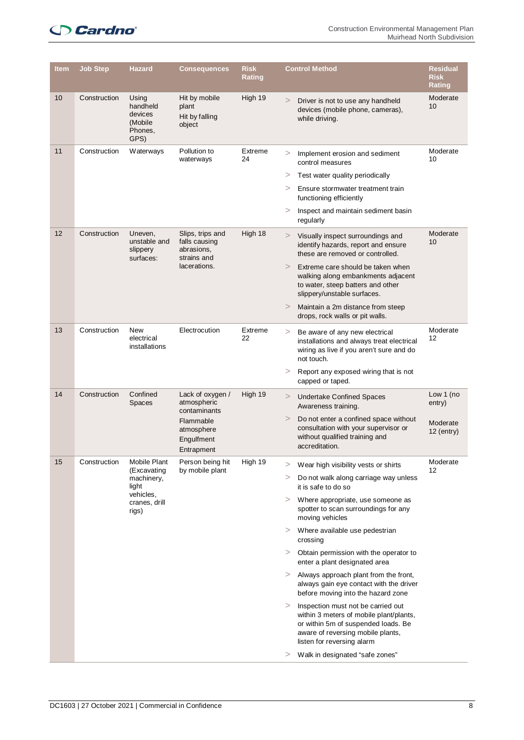## **Cardno**

| <b>Item</b> | <b>Job Step</b> | <b>Hazard</b>                                               | <b>Consequences</b>                                                                                    | <b>Risk</b><br><b>Rating</b> |          | <b>Control Method</b>                                                                                                                                                                   | <b>Residual</b><br><b>Risk</b><br><b>Rating</b> |
|-------------|-----------------|-------------------------------------------------------------|--------------------------------------------------------------------------------------------------------|------------------------------|----------|-----------------------------------------------------------------------------------------------------------------------------------------------------------------------------------------|-------------------------------------------------|
| 10          | Construction    | Using<br>handheld<br>devices<br>(Mobile)<br>Phones,<br>GPS) | Hit by mobile<br>plant<br>Hit by falling<br>object                                                     | High 19                      | $\geq$   | Driver is not to use any handheld<br>devices (mobile phone, cameras),<br>while driving.                                                                                                 | Moderate<br>10                                  |
| 11          | Construction    | Waterways                                                   | Pollution to<br>waterways                                                                              | Extreme<br>24                | $\rm{>}$ | Implement erosion and sediment<br>control measures                                                                                                                                      | Moderate<br>10                                  |
|             |                 |                                                             |                                                                                                        |                              | >        | Test water quality periodically                                                                                                                                                         |                                                 |
|             |                 |                                                             |                                                                                                        |                              | >        | Ensure stormwater treatment train<br>functioning efficiently                                                                                                                            |                                                 |
|             |                 |                                                             |                                                                                                        |                              | >        | Inspect and maintain sediment basin<br>regularly                                                                                                                                        |                                                 |
| 12          | Construction    | Uneven,<br>unstable and<br>slippery<br>surfaces:            | Slips, trips and<br>falls causing<br>abrasions,<br>strains and                                         | High 18                      | >        | Visually inspect surroundings and<br>identify hazards, report and ensure<br>these are removed or controlled.                                                                            | Moderate<br>10                                  |
|             |                 |                                                             | lacerations.                                                                                           |                              | >        | Extreme care should be taken when<br>walking along embankments adjacent<br>to water, steep batters and other<br>slippery/unstable surfaces.                                             |                                                 |
|             |                 |                                                             |                                                                                                        |                              | >        | Maintain a 2m distance from steep<br>drops, rock walls or pit walls.                                                                                                                    |                                                 |
| 13          | Construction    | New<br>electrical<br>installations                          | Electrocution                                                                                          | Extreme<br>22                | >        | Be aware of any new electrical<br>installations and always treat electrical<br>wiring as live if you aren't sure and do<br>not touch.                                                   | Moderate<br>12                                  |
|             |                 |                                                             |                                                                                                        |                              | >        | Report any exposed wiring that is not<br>capped or taped.                                                                                                                               |                                                 |
| 14          | Construction    | Confined<br><b>Spaces</b>                                   | Lack of oxygen /<br>atmospheric<br>contaminants<br>Flammable<br>atmosphere<br>Engulfment<br>Entrapment | High 19                      | >        | <b>Undertake Confined Spaces</b><br>Awareness training.                                                                                                                                 | Low 1 (no<br>entry)                             |
|             |                 |                                                             |                                                                                                        |                              | >        | Do not enter a confined space without<br>consultation with your supervisor or<br>without qualified training and<br>accreditation.                                                       | Moderate<br>$12$ (entry)                        |
| 15          | Construction    | Mobile Plant                                                | Person being hit                                                                                       | High 19                      | $\rm{>}$ | Wear high visibility vests or shirts                                                                                                                                                    | Moderate<br>12                                  |
|             |                 | (Excavating<br>machinery,<br>light                          | by mobile plant                                                                                        |                              | >        | Do not walk along carriage way unless<br>it is safe to do so                                                                                                                            |                                                 |
|             |                 | vehicles,<br>cranes, drill<br>rigs)                         |                                                                                                        |                              | >        | Where appropriate, use someone as<br>spotter to scan surroundings for any<br>moving vehicles                                                                                            |                                                 |
|             |                 |                                                             |                                                                                                        |                              | >        | Where available use pedestrian<br>crossing                                                                                                                                              |                                                 |
|             |                 |                                                             |                                                                                                        |                              | >        | Obtain permission with the operator to<br>enter a plant designated area                                                                                                                 |                                                 |
|             |                 |                                                             |                                                                                                        |                              | >        | Always approach plant from the front,<br>always gain eye contact with the driver<br>before moving into the hazard zone                                                                  |                                                 |
|             |                 |                                                             |                                                                                                        |                              | >        | Inspection must not be carried out<br>within 3 meters of mobile plant/plants,<br>or within 5m of suspended loads. Be<br>aware of reversing mobile plants,<br>listen for reversing alarm |                                                 |
|             |                 |                                                             |                                                                                                        |                              | >        | Walk in designated "safe zones"                                                                                                                                                         |                                                 |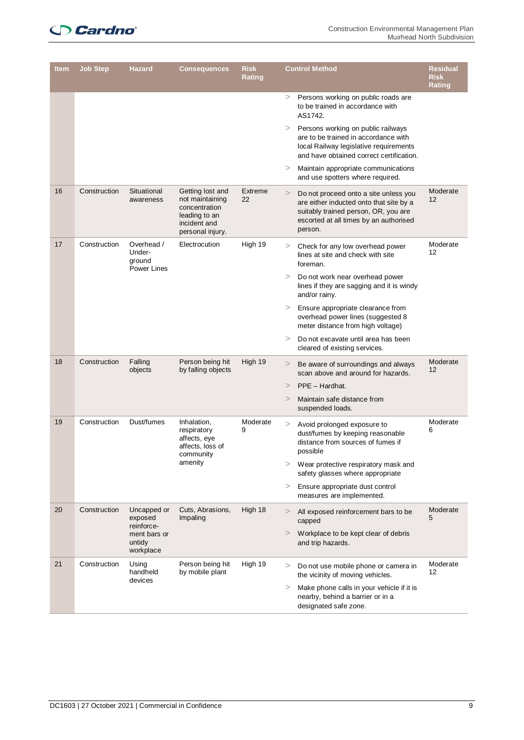## **Cardno**

| ltem | <b>Job Step</b>                                                                                           | <b>Hazard</b>                                     | Consequences                                                                                              | <b>Risk</b><br>Rating | <b>Control Method</b>                                                                                            |                                                                                                                                                                               | <b>Residual</b><br><b>Risk</b><br><b>Rating</b> |
|------|-----------------------------------------------------------------------------------------------------------|---------------------------------------------------|-----------------------------------------------------------------------------------------------------------|-----------------------|------------------------------------------------------------------------------------------------------------------|-------------------------------------------------------------------------------------------------------------------------------------------------------------------------------|-------------------------------------------------|
|      |                                                                                                           |                                                   |                                                                                                           |                       | $\rm{>}$                                                                                                         | Persons working on public roads are<br>to be trained in accordance with<br>AS1742.                                                                                            |                                                 |
|      |                                                                                                           |                                                   |                                                                                                           |                       | >                                                                                                                | Persons working on public railways<br>are to be trained in accordance with<br>local Railway legislative requirements<br>and have obtained correct certification.              |                                                 |
|      |                                                                                                           |                                                   |                                                                                                           |                       | >                                                                                                                | Maintain appropriate communications<br>and use spotters where required.                                                                                                       |                                                 |
| 16   | Construction                                                                                              | Situational<br>awareness                          | Getting lost and<br>not maintaining<br>concentration<br>leading to an<br>incident and<br>personal injury. | Extreme<br>22         | >                                                                                                                | Do not proceed onto a site unless you<br>are either inducted onto that site by a<br>suitably trained person, OR, you are<br>escorted at all times by an authorised<br>person. | Moderate<br>12                                  |
| 17   | Construction                                                                                              | Overhead /<br>Under-<br>ground<br>Power Lines     | Electrocution                                                                                             | High 19               | >                                                                                                                | Check for any low overhead power<br>lines at site and check with site<br>foreman.                                                                                             | Moderate<br>12                                  |
|      |                                                                                                           |                                                   |                                                                                                           |                       | >                                                                                                                | Do not work near overhead power<br>lines if they are sagging and it is windy<br>and/or rainy.                                                                                 |                                                 |
|      |                                                                                                           |                                                   |                                                                                                           |                       | >                                                                                                                | Ensure appropriate clearance from<br>overhead power lines (suggested 8<br>meter distance from high voltage)                                                                   |                                                 |
|      |                                                                                                           |                                                   |                                                                                                           |                       | $\rm{>}$                                                                                                         | Do not excavate until area has been<br>cleared of existing services.                                                                                                          |                                                 |
| 18   | Construction                                                                                              | Falling<br>objects                                | Person being hit<br>by falling objects                                                                    | High 19               | >                                                                                                                | Be aware of surroundings and always<br>scan above and around for hazards.                                                                                                     | Moderate<br>12                                  |
|      |                                                                                                           |                                                   |                                                                                                           |                       | >                                                                                                                | PPE - Hardhat.                                                                                                                                                                |                                                 |
|      |                                                                                                           |                                                   |                                                                                                           |                       | >                                                                                                                | Maintain safe distance from<br>suspended loads.                                                                                                                               |                                                 |
| 19   | Construction<br>Dust/fumes<br>Inhalation,<br>respiratory<br>affects, eye<br>affects, loss of<br>community |                                                   | Moderate<br>9                                                                                             | >                     | Avoid prolonged exposure to<br>dust/fumes by keeping reasonable<br>distance from sources of fumes if<br>possible | Moderate<br>6                                                                                                                                                                 |                                                 |
|      |                                                                                                           |                                                   | amenity                                                                                                   |                       | >                                                                                                                | Wear protective respiratory mask and<br>safety glasses where appropriate                                                                                                      |                                                 |
|      |                                                                                                           |                                                   |                                                                                                           |                       | >                                                                                                                | Ensure appropriate dust control<br>measures are implemented.                                                                                                                  |                                                 |
| 20   | Construction                                                                                              | Uncapped or<br>exposed                            | Cuts, Abrasions,<br>Impaling                                                                              | High 18               | >                                                                                                                | All exposed reinforcement bars to be<br>capped                                                                                                                                | Moderate<br>5                                   |
|      |                                                                                                           | reinforce-<br>ment bars or<br>untidy<br>workplace |                                                                                                           |                       | >                                                                                                                | Workplace to be kept clear of debris<br>and trip hazards.                                                                                                                     |                                                 |
| 21   | Construction                                                                                              | Using<br>handheld<br>devices                      | Person being hit<br>by mobile plant                                                                       | High 19               | >                                                                                                                | Do not use mobile phone or camera in<br>the vicinity of moving vehicles.                                                                                                      | Moderate<br>12                                  |
|      |                                                                                                           |                                                   |                                                                                                           |                       | $\rm{>}$                                                                                                         | Make phone calls in your vehicle if it is<br>nearby, behind a barrier or in a<br>designated safe zone.                                                                        |                                                 |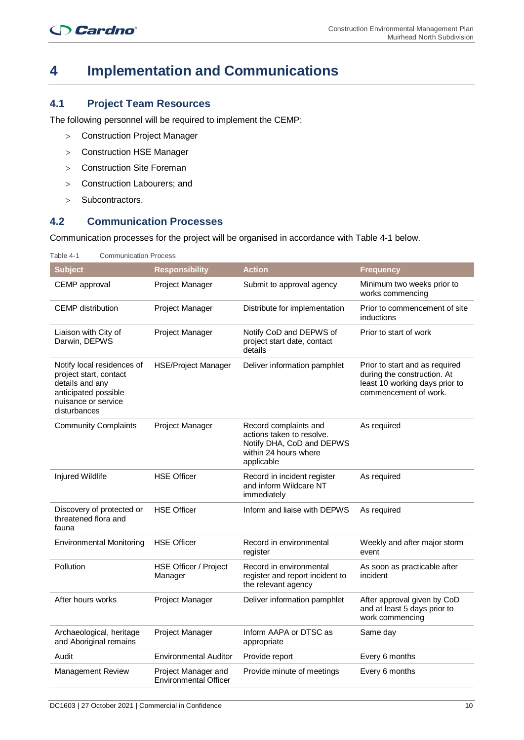## **4 Implementation and Communications**

#### **4.1 Project Team Resources**

The following personnel will be required to implement the CEMP:

- > Construction Project Manager
- > Construction HSE Manager
- > Construction Site Foreman
- > Construction Labourers; and
- > Subcontractors.

## **4.2 Communication Processes**

Communication processes for the project will be organised in accordance with Table 4-1 below.

| Table 4-1<br><b>Communication Process</b>                                                                                              |                                                     |                                                                                                                        |                                                                                                                          |
|----------------------------------------------------------------------------------------------------------------------------------------|-----------------------------------------------------|------------------------------------------------------------------------------------------------------------------------|--------------------------------------------------------------------------------------------------------------------------|
| <b>Subject</b>                                                                                                                         | <b>Responsibility</b>                               | <b>Action</b>                                                                                                          | <b>Frequency</b>                                                                                                         |
| CEMP approval                                                                                                                          | <b>Project Manager</b>                              | Submit to approval agency                                                                                              | Minimum two weeks prior to<br>works commencing                                                                           |
| <b>CEMP</b> distribution                                                                                                               | Project Manager                                     | Distribute for implementation                                                                                          | Prior to commencement of site<br>inductions                                                                              |
| Liaison with City of<br>Darwin, DEPWS                                                                                                  | Project Manager                                     | Notify CoD and DEPWS of<br>project start date, contact<br>details                                                      | Prior to start of work                                                                                                   |
| Notify local residences of<br>project start, contact<br>details and any<br>anticipated possible<br>nuisance or service<br>disturbances | <b>HSE/Project Manager</b>                          | Deliver information pamphlet                                                                                           | Prior to start and as required<br>during the construction. At<br>least 10 working days prior to<br>commencement of work. |
| <b>Community Complaints</b>                                                                                                            | <b>Project Manager</b>                              | Record complaints and<br>actions taken to resolve.<br>Notify DHA, CoD and DEPWS<br>within 24 hours where<br>applicable | As required                                                                                                              |
| Injured Wildlife                                                                                                                       | <b>HSE Officer</b>                                  | Record in incident register<br>and inform Wildcare NT<br>immediately                                                   | As required                                                                                                              |
| Discovery of protected or<br>threatened flora and<br>fauna                                                                             | <b>HSE Officer</b>                                  | Inform and liaise with DEPWS                                                                                           | As required                                                                                                              |
| <b>Environmental Monitoring</b>                                                                                                        | <b>HSE Officer</b>                                  | Record in environmental<br>register                                                                                    | Weekly and after major storm<br>event                                                                                    |
| Pollution                                                                                                                              | HSE Officer / Project<br>Manager                    | Record in environmental<br>register and report incident to<br>the relevant agency                                      | As soon as practicable after<br>incident                                                                                 |
| After hours works                                                                                                                      | Project Manager                                     | Deliver information pamphlet                                                                                           | After approval given by CoD<br>and at least 5 days prior to<br>work commencing                                           |
| Archaeological, heritage<br>and Aboriginal remains                                                                                     | Project Manager                                     | Inform AAPA or DTSC as<br>appropriate                                                                                  | Same day                                                                                                                 |
| Audit                                                                                                                                  | <b>Environmental Auditor</b>                        | Provide report                                                                                                         | Every 6 months                                                                                                           |
| Management Review                                                                                                                      | Project Manager and<br><b>Environmental Officer</b> | Provide minute of meetings                                                                                             | Every 6 months                                                                                                           |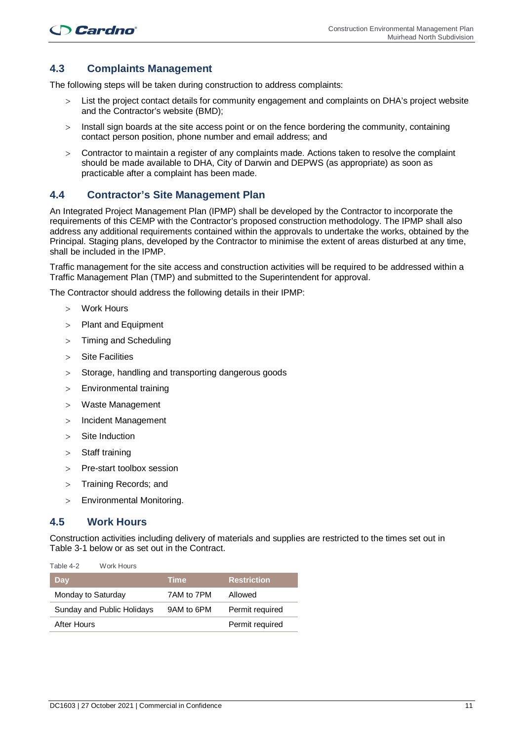## **4.3 Complaints Management**

The following steps will be taken during construction to address complaints:

- List the project contact details for community engagement and complaints on DHA's project website and the Contractor's website (BMD);
- > Install sign boards at the site access point or on the fence bordering the community, containing contact person position, phone number and email address; and
- > Contractor to maintain a register of any complaints made. Actions taken to resolve the complaint should be made available to DHA, City of Darwin and DEPWS (as appropriate) as soon as practicable after a complaint has been made.

### **4.4 Contractor's Site Management Plan**

An Integrated Project Management Plan (IPMP) shall be developed by the Contractor to incorporate the requirements of this CEMP with the Contractor's proposed construction methodology. The IPMP shall also address any additional requirements contained within the approvals to undertake the works, obtained by the Principal. Staging plans, developed by the Contractor to minimise the extent of areas disturbed at any time, shall be included in the IPMP.

Traffic management for the site access and construction activities will be required to be addressed within a Traffic Management Plan (TMP) and submitted to the Superintendent for approval.

The Contractor should address the following details in their IPMP:

- Work Hours
- > Plant and Equipment
- > Timing and Scheduling
- > Site Facilities
- > Storage, handling and transporting dangerous goods
- > Environmental training
- > Waste Management
- > Incident Management
- > Site Induction
- > Staff training
- > Pre-start toolbox session
- > Training Records; and
- > Environmental Monitoring.

#### **4.5 Work Hours**

Construction activities including delivery of materials and supplies are restricted to the times set out in Table 3-1 below or as set out in the Contract.

| Day                        | <b>Time</b> | <b>Restriction</b> |
|----------------------------|-------------|--------------------|
| Monday to Saturday         | 7AM to 7PM  | Allowed            |
| Sunday and Public Holidays | 9AM to 6PM  | Permit required    |
| After Hours                |             | Permit required    |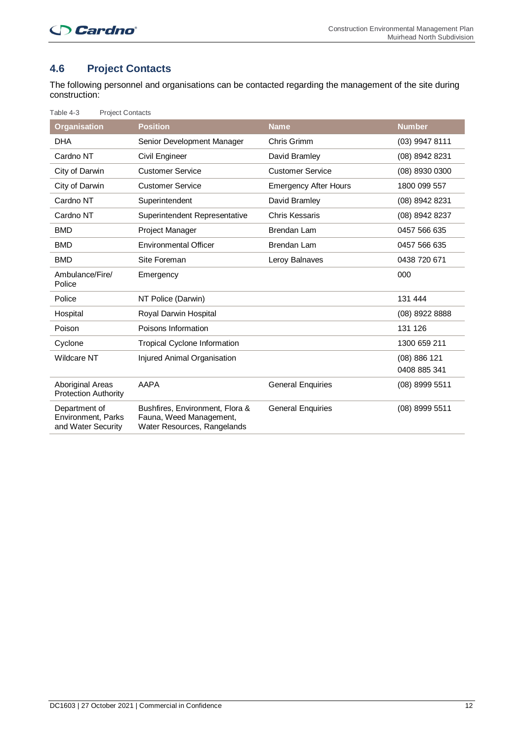## **4.6 Project Contacts**

The following personnel and organisations can be contacted regarding the management of the site during construction:

| Table 4-3<br><b>Project Contacts</b>                             |                                                                                           |                              |                  |
|------------------------------------------------------------------|-------------------------------------------------------------------------------------------|------------------------------|------------------|
| <b>Organisation</b>                                              | <b>Position</b>                                                                           | <b>Name</b>                  | <b>Number</b>    |
| <b>DHA</b>                                                       | Senior Development Manager                                                                | Chris Grimm                  | (03) 9947 8111   |
| Cardno NT                                                        | Civil Engineer                                                                            | David Bramley                | (08) 8942 8231   |
| City of Darwin                                                   | <b>Customer Service</b>                                                                   | <b>Customer Service</b>      | (08) 8930 0300   |
| City of Darwin                                                   | <b>Customer Service</b>                                                                   | <b>Emergency After Hours</b> | 1800 099 557     |
| Cardno NT                                                        | Superintendent                                                                            | David Bramley                | (08) 8942 8231   |
| Cardno NT                                                        | Superintendent Representative                                                             | <b>Chris Kessaris</b>        | (08) 8942 8237   |
| <b>BMD</b>                                                       | Project Manager                                                                           | Brendan Lam                  | 0457 566 635     |
| <b>BMD</b>                                                       | <b>Environmental Officer</b>                                                              | Brendan Lam                  | 0457 566 635     |
| <b>BMD</b>                                                       | Site Foreman                                                                              | Leroy Balnaves               | 0438 720 671     |
| Ambulance/Fire/<br>Police                                        | Emergency                                                                                 |                              | 000              |
| Police                                                           | NT Police (Darwin)                                                                        |                              | 131 444          |
| Hospital                                                         | Royal Darwin Hospital                                                                     |                              | (08) 8922 8888   |
| Poison                                                           | Poisons Information                                                                       |                              | 131 126          |
| Cyclone                                                          | <b>Tropical Cyclone Information</b>                                                       |                              | 1300 659 211     |
| <b>Wildcare NT</b>                                               | Injured Animal Organisation                                                               |                              | (08) 886 121     |
|                                                                  |                                                                                           |                              | 0408 885 341     |
| <b>Aboriginal Areas</b><br><b>Protection Authority</b>           | <b>AAPA</b>                                                                               | <b>General Enquiries</b>     | (08) 8999 5511   |
| Department of<br><b>Environment, Parks</b><br>and Water Security | Bushfires, Environment, Flora &<br>Fauna, Weed Management,<br>Water Resources, Rangelands | <b>General Enquiries</b>     | $(08)$ 8999 5511 |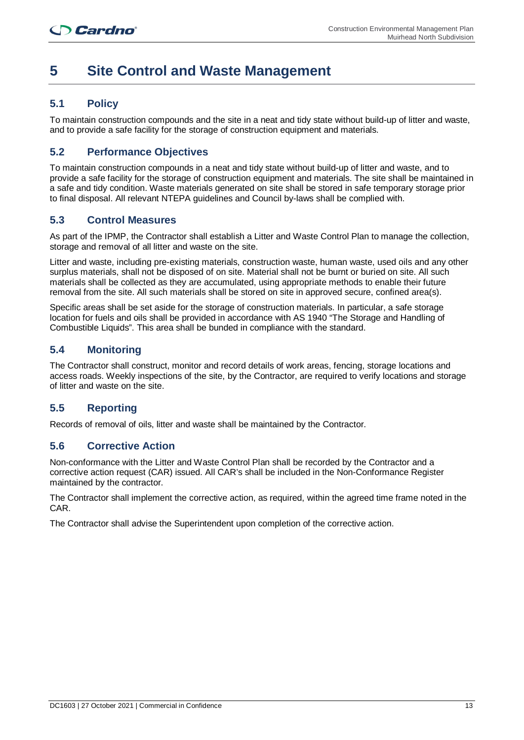## **5 Site Control and Waste Management**

## **5.1 Policy**

To maintain construction compounds and the site in a neat and tidy state without build-up of litter and waste, and to provide a safe facility for the storage of construction equipment and materials.

## **5.2 Performance Objectives**

To maintain construction compounds in a neat and tidy state without build-up of litter and waste, and to provide a safe facility for the storage of construction equipment and materials. The site shall be maintained in a safe and tidy condition. Waste materials generated on site shall be stored in safe temporary storage prior to final disposal. All relevant NTEPA guidelines and Council by-laws shall be complied with.

### **5.3 Control Measures**

As part of the IPMP, the Contractor shall establish a Litter and Waste Control Plan to manage the collection, storage and removal of all litter and waste on the site.

Litter and waste, including pre-existing materials, construction waste, human waste, used oils and any other surplus materials, shall not be disposed of on site. Material shall not be burnt or buried on site. All such materials shall be collected as they are accumulated, using appropriate methods to enable their future removal from the site. All such materials shall be stored on site in approved secure, confined area(s).

Specific areas shall be set aside for the storage of construction materials. In particular, a safe storage location for fuels and oils shall be provided in accordance with AS 1940 "The Storage and Handling of Combustible Liquids". This area shall be bunded in compliance with the standard.

## **5.4 Monitoring**

The Contractor shall construct, monitor and record details of work areas, fencing, storage locations and access roads. Weekly inspections of the site, by the Contractor, are required to verify locations and storage of litter and waste on the site.

## **5.5 Reporting**

Records of removal of oils, litter and waste shall be maintained by the Contractor.

### **5.6 Corrective Action**

Non-conformance with the Litter and Waste Control Plan shall be recorded by the Contractor and a corrective action request (CAR) issued. All CAR's shall be included in the Non-Conformance Register maintained by the contractor.

The Contractor shall implement the corrective action, as required, within the agreed time frame noted in the CAR.

The Contractor shall advise the Superintendent upon completion of the corrective action.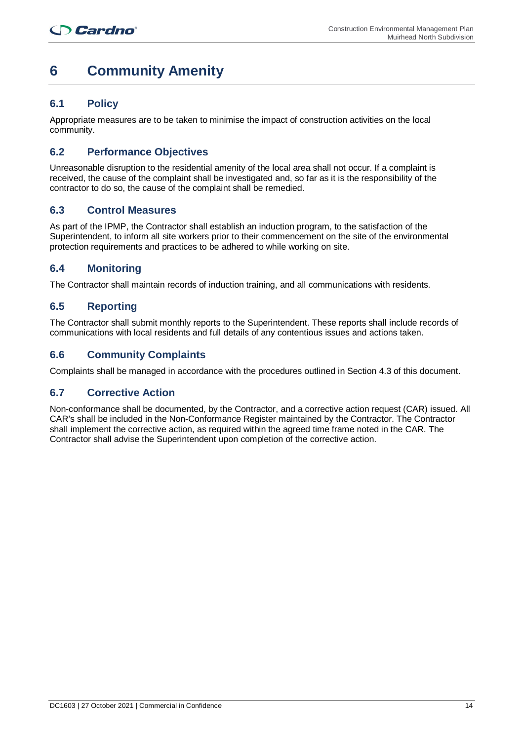## **6 Community Amenity**

## **6.1 Policy**

Appropriate measures are to be taken to minimise the impact of construction activities on the local community.

### **6.2 Performance Objectives**

Unreasonable disruption to the residential amenity of the local area shall not occur. If a complaint is received, the cause of the complaint shall be investigated and, so far as it is the responsibility of the contractor to do so, the cause of the complaint shall be remedied.

### **6.3 Control Measures**

As part of the IPMP, the Contractor shall establish an induction program, to the satisfaction of the Superintendent, to inform all site workers prior to their commencement on the site of the environmental protection requirements and practices to be adhered to while working on site.

## **6.4 Monitoring**

The Contractor shall maintain records of induction training, and all communications with residents.

### **6.5 Reporting**

The Contractor shall submit monthly reports to the Superintendent. These reports shall include records of communications with local residents and full details of any contentious issues and actions taken.

### **6.6 Community Complaints**

Complaints shall be managed in accordance with the procedures outlined in Section 4.3 of this document.

### **6.7 Corrective Action**

Non-conformance shall be documented, by the Contractor, and a corrective action request (CAR) issued. All CAR's shall be included in the Non-Conformance Register maintained by the Contractor. The Contractor shall implement the corrective action, as required within the agreed time frame noted in the CAR. The Contractor shall advise the Superintendent upon completion of the corrective action.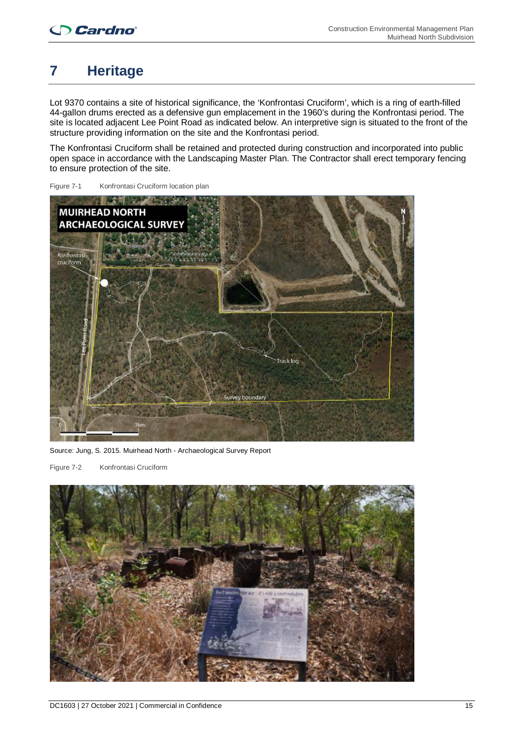## **7 Heritage**

Lot 9370 contains a site of historical significance, the 'Konfrontasi Cruciform', which is a ring of earth-filled 44-gallon drums erected as a defensive gun emplacement in the 1960's during the Konfrontasi period. The site is located adjacent Lee Point Road as indicated below. An interpretive sign is situated to the front of the structure providing information on the site and the Konfrontasi period.

The Konfrontasi Cruciform shall be retained and protected during construction and incorporated into public open space in accordance with the Landscaping Master Plan. The Contractor shall erect temporary fencing to ensure protection of the site.



Figure 7-1 Konfrontasi Cruciform location plan

Source: Jung, S. 2015. Muirhead North - Archaeological Survey Report

Figure 7-2 Konfrontasi Cruciform

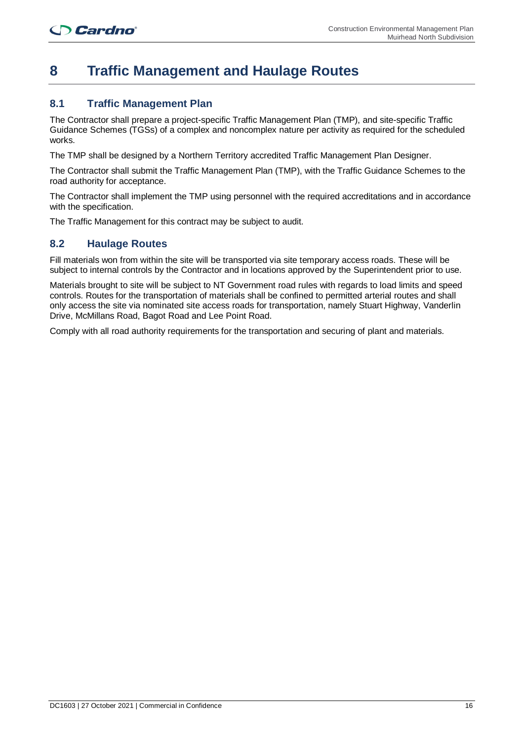## **8 Traffic Management and Haulage Routes**

## **8.1 Traffic Management Plan**

The Contractor shall prepare a project-specific Traffic Management Plan (TMP), and site-specific Traffic Guidance Schemes (TGSs) of a complex and noncomplex nature per activity as required for the scheduled works.

The TMP shall be designed by a Northern Territory accredited Traffic Management Plan Designer.

The Contractor shall submit the Traffic Management Plan (TMP), with the Traffic Guidance Schemes to the road authority for acceptance.

The Contractor shall implement the TMP using personnel with the required accreditations and in accordance with the specification.

The Traffic Management for this contract may be subject to audit.

#### **8.2 Haulage Routes**

Fill materials won from within the site will be transported via site temporary access roads. These will be subject to internal controls by the Contractor and in locations approved by the Superintendent prior to use.

Materials brought to site will be subject to NT Government road rules with regards to load limits and speed controls. Routes for the transportation of materials shall be confined to permitted arterial routes and shall only access the site via nominated site access roads for transportation, namely Stuart Highway, Vanderlin Drive, McMillans Road, Bagot Road and Lee Point Road.

Comply with all road authority requirements for the transportation and securing of plant and materials.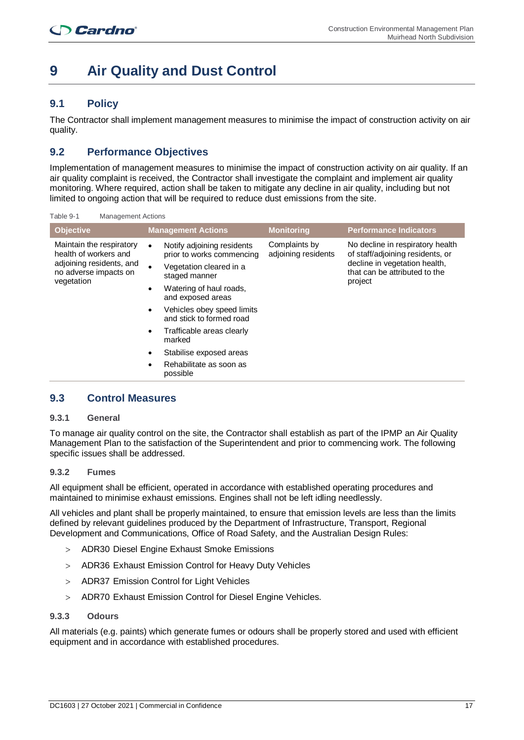## **9 Air Quality and Dust Control**

## **9.1 Policy**

The Contractor shall implement management measures to minimise the impact of construction activity on air quality.

## **9.2 Performance Objectives**

Implementation of management measures to minimise the impact of construction activity on air quality. If an air quality complaint is received, the Contractor shall investigate the complaint and implement air quality monitoring. Where required, action shall be taken to mitigate any decline in air quality, including but not limited to ongoing action that will be required to reduce dust emissions from the site.

Table 9-1 Management Actions

| <b>Objective</b>                                                                                                     | <b>Management Actions</b>                                                                                                                                                                                                                                                                                                                                  |  | <b>Monitoring</b>                    | <b>Performance Indicators</b>                                                                                                                     |
|----------------------------------------------------------------------------------------------------------------------|------------------------------------------------------------------------------------------------------------------------------------------------------------------------------------------------------------------------------------------------------------------------------------------------------------------------------------------------------------|--|--------------------------------------|---------------------------------------------------------------------------------------------------------------------------------------------------|
| Maintain the respiratory<br>health of workers and<br>adjoining residents, and<br>no adverse impacts on<br>vegetation | Notify adjoining residents<br>$\bullet$<br>prior to works commencing<br>Vegetation cleared in a<br>staged manner<br>Watering of haul roads,<br>٠<br>and exposed areas<br>Vehicles obey speed limits<br>٠<br>and stick to formed road<br>Trafficable areas clearly<br>$\bullet$<br>marked<br>Stabilise exposed areas<br>Rehabilitate as soon as<br>possible |  | Complaints by<br>adjoining residents | No decline in respiratory health<br>of staff/adjoining residents, or<br>decline in vegetation health,<br>that can be attributed to the<br>project |

#### **9.3 Control Measures**

#### **9.3.1 General**

To manage air quality control on the site, the Contractor shall establish as part of the IPMP an Air Quality Management Plan to the satisfaction of the Superintendent and prior to commencing work. The following specific issues shall be addressed.

#### **9.3.2 Fumes**

All equipment shall be efficient, operated in accordance with established operating procedures and maintained to minimise exhaust emissions. Engines shall not be left idling needlessly.

All vehicles and plant shall be properly maintained, to ensure that emission levels are less than the limits defined by relevant guidelines produced by the Department of Infrastructure, Transport, Regional Development and Communications, Office of Road Safety, and the Australian Design Rules:

- > ADR30 Diesel Engine Exhaust Smoke Emissions
- > ADR36 Exhaust Emission Control for Heavy Duty Vehicles
- > ADR37 Emission Control for Light Vehicles
- > ADR70 Exhaust Emission Control for Diesel Engine Vehicles.

#### **9.3.3 Odours**

All materials (e.g. paints) which generate fumes or odours shall be properly stored and used with efficient equipment and in accordance with established procedures.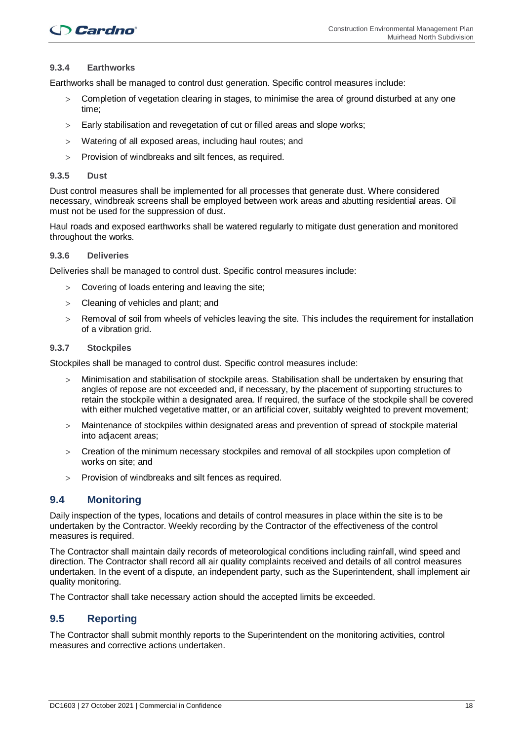#### **9.3.4 Earthworks**

Earthworks shall be managed to control dust generation. Specific control measures include:

- > Completion of vegetation clearing in stages, to minimise the area of ground disturbed at any one time;
- > Early stabilisation and revegetation of cut or filled areas and slope works;
- > Watering of all exposed areas, including haul routes; and
- > Provision of windbreaks and silt fences, as required.

#### **9.3.5 Dust**

Dust control measures shall be implemented for all processes that generate dust. Where considered necessary, windbreak screens shall be employed between work areas and abutting residential areas. Oil must not be used for the suppression of dust.

Haul roads and exposed earthworks shall be watered regularly to mitigate dust generation and monitored throughout the works.

#### **9.3.6 Deliveries**

Deliveries shall be managed to control dust. Specific control measures include:

- > Covering of loads entering and leaving the site;
- > Cleaning of vehicles and plant; and
- > Removal of soil from wheels of vehicles leaving the site. This includes the requirement for installation of a vibration grid.

#### **9.3.7 Stockpiles**

Stockpiles shall be managed to control dust. Specific control measures include:

- > Minimisation and stabilisation of stockpile areas. Stabilisation shall be undertaken by ensuring that angles of repose are not exceeded and, if necessary, by the placement of supporting structures to retain the stockpile within a designated area. If required, the surface of the stockpile shall be covered with either mulched vegetative matter, or an artificial cover, suitably weighted to prevent movement;
- > Maintenance of stockpiles within designated areas and prevention of spread of stockpile material into adjacent areas;
- > Creation of the minimum necessary stockpiles and removal of all stockpiles upon completion of works on site; and
- > Provision of windbreaks and silt fences as required.

#### **9.4 Monitoring**

Daily inspection of the types, locations and details of control measures in place within the site is to be undertaken by the Contractor. Weekly recording by the Contractor of the effectiveness of the control measures is required.

The Contractor shall maintain daily records of meteorological conditions including rainfall, wind speed and direction. The Contractor shall record all air quality complaints received and details of all control measures undertaken. In the event of a dispute, an independent party, such as the Superintendent, shall implement air quality monitoring.

The Contractor shall take necessary action should the accepted limits be exceeded.

#### **9.5 Reporting**

The Contractor shall submit monthly reports to the Superintendent on the monitoring activities, control measures and corrective actions undertaken.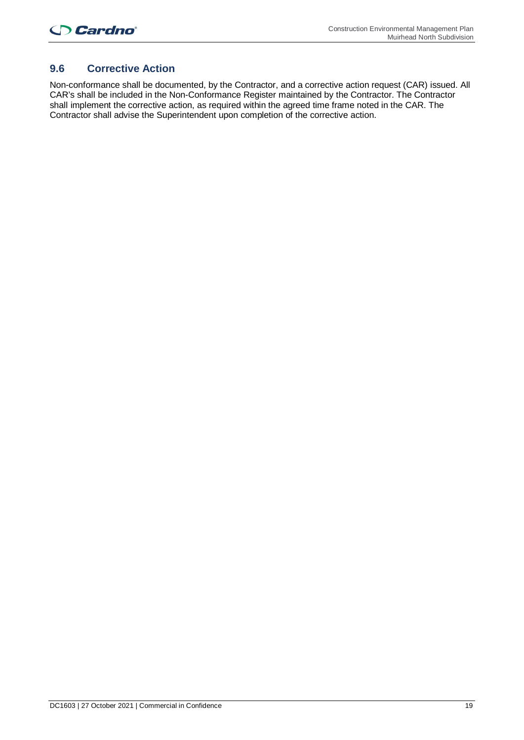## **9.6 Corrective Action**

Non-conformance shall be documented, by the Contractor, and a corrective action request (CAR) issued. All CAR's shall be included in the Non-Conformance Register maintained by the Contractor. The Contractor shall implement the corrective action, as required within the agreed time frame noted in the CAR. The Contractor shall advise the Superintendent upon completion of the corrective action.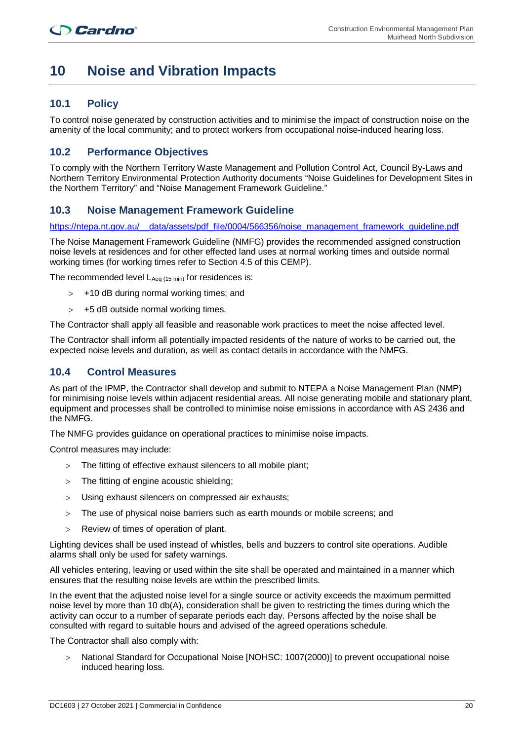## **10 Noise and Vibration Impacts**

## **10.1 Policy**

To control noise generated by construction activities and to minimise the impact of construction noise on the amenity of the local community; and to protect workers from occupational noise-induced hearing loss.

### **10.2 Performance Objectives**

To comply with the Northern Territory Waste Management and Pollution Control Act, Council By-Laws and Northern Territory Environmental Protection Authority documents "Noise Guidelines for Development Sites in the Northern Territory" and "Noise Management Framework Guideline."

## **10.3 Noise Management Framework Guideline**

https://ntepa.nt.gov.au/ data/assets/pdf file/0004/566356/noise management framework quideline.pdf

The Noise Management Framework Guideline (NMFG) provides the recommended assigned construction noise levels at residences and for other effected land uses at normal working times and outside normal working times (for working times refer to Section 4.5 of this CEMP).

The recommended level  $L_{Aeq}$  (15 min) for residences is:

- > +10 dB during normal working times; and
- $>$  +5 dB outside normal working times.

The Contractor shall apply all feasible and reasonable work practices to meet the noise affected level.

The Contractor shall inform all potentially impacted residents of the nature of works to be carried out, the expected noise levels and duration, as well as contact details in accordance with the NMFG.

#### **10.4 Control Measures**

As part of the IPMP, the Contractor shall develop and submit to NTEPA a Noise Management Plan (NMP) for minimising noise levels within adjacent residential areas. All noise generating mobile and stationary plant, equipment and processes shall be controlled to minimise noise emissions in accordance with AS 2436 and the NMFG.

The NMFG provides guidance on operational practices to minimise noise impacts.

Control measures may include:

- > The fitting of effective exhaust silencers to all mobile plant;
- > The fitting of engine acoustic shielding;
- > Using exhaust silencers on compressed air exhausts;
- > The use of physical noise barriers such as earth mounds or mobile screens; and
- > Review of times of operation of plant.

Lighting devices shall be used instead of whistles, bells and buzzers to control site operations. Audible alarms shall only be used for safety warnings.

All vehicles entering, leaving or used within the site shall be operated and maintained in a manner which ensures that the resulting noise levels are within the prescribed limits.

In the event that the adjusted noise level for a single source or activity exceeds the maximum permitted noise level by more than 10 db(A), consideration shall be given to restricting the times during which the activity can occur to a number of separate periods each day. Persons affected by the noise shall be consulted with regard to suitable hours and advised of the agreed operations schedule.

The Contractor shall also comply with:

> National Standard for Occupational Noise [NOHSC: 1007(2000)] to prevent occupational noise induced hearing loss.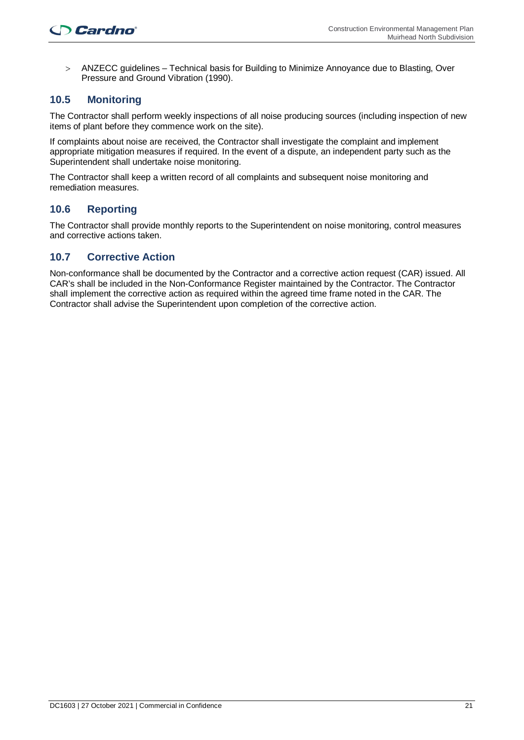> ANZECC guidelines – Technical basis for Building to Minimize Annoyance due to Blasting, Over Pressure and Ground Vibration (1990).

## **10.5 Monitoring**

The Contractor shall perform weekly inspections of all noise producing sources (including inspection of new items of plant before they commence work on the site).

If complaints about noise are received, the Contractor shall investigate the complaint and implement appropriate mitigation measures if required. In the event of a dispute, an independent party such as the Superintendent shall undertake noise monitoring.

The Contractor shall keep a written record of all complaints and subsequent noise monitoring and remediation measures.

### **10.6 Reporting**

The Contractor shall provide monthly reports to the Superintendent on noise monitoring, control measures and corrective actions taken.

#### **10.7 Corrective Action**

Non-conformance shall be documented by the Contractor and a corrective action request (CAR) issued. All CAR's shall be included in the Non-Conformance Register maintained by the Contractor. The Contractor shall implement the corrective action as required within the agreed time frame noted in the CAR. The Contractor shall advise the Superintendent upon completion of the corrective action.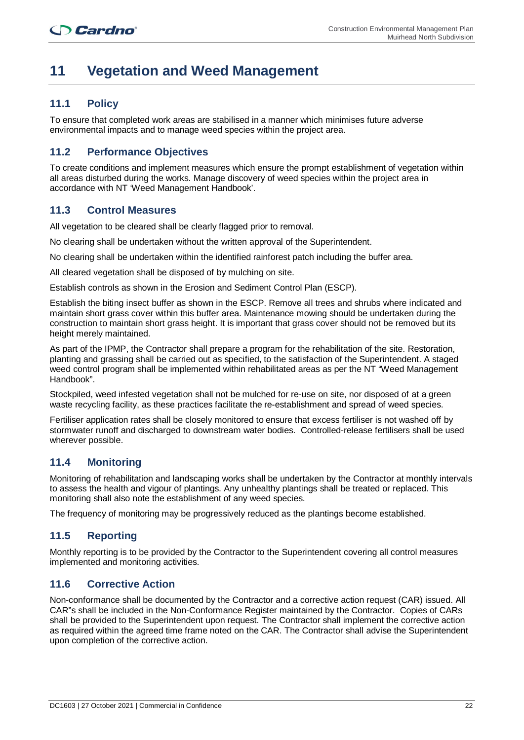## **11 Vegetation and Weed Management**

## **11.1 Policy**

To ensure that completed work areas are stabilised in a manner which minimises future adverse environmental impacts and to manage weed species within the project area.

## **11.2 Performance Objectives**

To create conditions and implement measures which ensure the prompt establishment of vegetation within all areas disturbed during the works. Manage discovery of weed species within the project area in accordance with NT 'Weed Management Handbook'.

### **11.3 Control Measures**

All vegetation to be cleared shall be clearly flagged prior to removal.

No clearing shall be undertaken without the written approval of the Superintendent.

No clearing shall be undertaken within the identified rainforest patch including the buffer area.

All cleared vegetation shall be disposed of by mulching on site.

Establish controls as shown in the Erosion and Sediment Control Plan (ESCP).

Establish the biting insect buffer as shown in the ESCP. Remove all trees and shrubs where indicated and maintain short grass cover within this buffer area. Maintenance mowing should be undertaken during the construction to maintain short grass height. It is important that grass cover should not be removed but its height merely maintained.

As part of the IPMP, the Contractor shall prepare a program for the rehabilitation of the site. Restoration, planting and grassing shall be carried out as specified, to the satisfaction of the Superintendent. A staged weed control program shall be implemented within rehabilitated areas as per the NT "Weed Management Handbook".

Stockpiled, weed infested vegetation shall not be mulched for re-use on site, nor disposed of at a green waste recycling facility, as these practices facilitate the re-establishment and spread of weed species.

Fertiliser application rates shall be closely monitored to ensure that excess fertiliser is not washed off by stormwater runoff and discharged to downstream water bodies. Controlled-release fertilisers shall be used wherever possible.

## **11.4 Monitoring**

Monitoring of rehabilitation and landscaping works shall be undertaken by the Contractor at monthly intervals to assess the health and vigour of plantings. Any unhealthy plantings shall be treated or replaced. This monitoring shall also note the establishment of any weed species.

The frequency of monitoring may be progressively reduced as the plantings become established.

### **11.5 Reporting**

Monthly reporting is to be provided by the Contractor to the Superintendent covering all control measures implemented and monitoring activities.

### **11.6 Corrective Action**

Non-conformance shall be documented by the Contractor and a corrective action request (CAR) issued. All CAR"s shall be included in the Non-Conformance Register maintained by the Contractor. Copies of CARs shall be provided to the Superintendent upon request. The Contractor shall implement the corrective action as required within the agreed time frame noted on the CAR. The Contractor shall advise the Superintendent upon completion of the corrective action.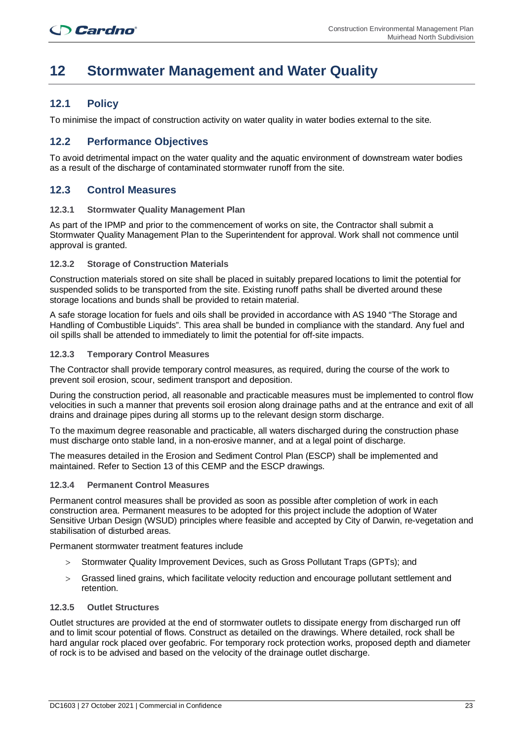## **12 Stormwater Management and Water Quality**

### **12.1 Policy**

To minimise the impact of construction activity on water quality in water bodies external to the site.

#### **12.2 Performance Objectives**

To avoid detrimental impact on the water quality and the aquatic environment of downstream water bodies as a result of the discharge of contaminated stormwater runoff from the site.

#### **12.3 Control Measures**

#### **12.3.1 Stormwater Quality Management Plan**

As part of the IPMP and prior to the commencement of works on site, the Contractor shall submit a Stormwater Quality Management Plan to the Superintendent for approval. Work shall not commence until approval is granted.

#### **12.3.2 Storage of Construction Materials**

Construction materials stored on site shall be placed in suitably prepared locations to limit the potential for suspended solids to be transported from the site. Existing runoff paths shall be diverted around these storage locations and bunds shall be provided to retain material.

A safe storage location for fuels and oils shall be provided in accordance with AS 1940 "The Storage and Handling of Combustible Liquids". This area shall be bunded in compliance with the standard. Any fuel and oil spills shall be attended to immediately to limit the potential for off-site impacts.

#### **12.3.3 Temporary Control Measures**

The Contractor shall provide temporary control measures, as required, during the course of the work to prevent soil erosion, scour, sediment transport and deposition.

During the construction period, all reasonable and practicable measures must be implemented to control flow velocities in such a manner that prevents soil erosion along drainage paths and at the entrance and exit of all drains and drainage pipes during all storms up to the relevant design storm discharge.

To the maximum degree reasonable and practicable, all waters discharged during the construction phase must discharge onto stable land, in a non-erosive manner, and at a legal point of discharge.

The measures detailed in the Erosion and Sediment Control Plan (ESCP) shall be implemented and maintained. Refer to Section 13 of this CEMP and the ESCP drawings.

#### **12.3.4 Permanent Control Measures**

Permanent control measures shall be provided as soon as possible after completion of work in each construction area. Permanent measures to be adopted for this project include the adoption of Water Sensitive Urban Design (WSUD) principles where feasible and accepted by City of Darwin, re-vegetation and stabilisation of disturbed areas.

Permanent stormwater treatment features include

- > Stormwater Quality Improvement Devices, such as Gross Pollutant Traps (GPTs); and
- > Grassed lined grains, which facilitate velocity reduction and encourage pollutant settlement and retention.

#### **12.3.5 Outlet Structures**

Outlet structures are provided at the end of stormwater outlets to dissipate energy from discharged run off and to limit scour potential of flows. Construct as detailed on the drawings. Where detailed, rock shall be hard angular rock placed over geofabric. For temporary rock protection works, proposed depth and diameter of rock is to be advised and based on the velocity of the drainage outlet discharge.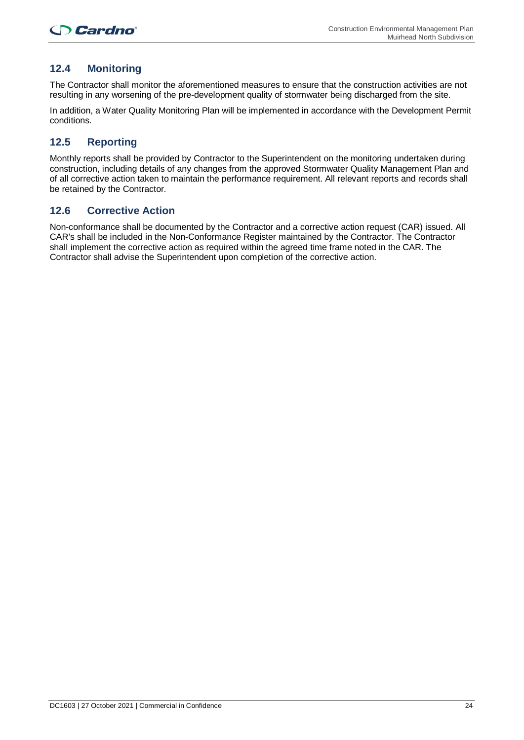## **12.4 Monitoring**

The Contractor shall monitor the aforementioned measures to ensure that the construction activities are not resulting in any worsening of the pre-development quality of stormwater being discharged from the site.

In addition, a Water Quality Monitoring Plan will be implemented in accordance with the Development Permit conditions.

## **12.5 Reporting**

Monthly reports shall be provided by Contractor to the Superintendent on the monitoring undertaken during construction, including details of any changes from the approved Stormwater Quality Management Plan and of all corrective action taken to maintain the performance requirement. All relevant reports and records shall be retained by the Contractor.

#### **12.6 Corrective Action**

Non-conformance shall be documented by the Contractor and a corrective action request (CAR) issued. All CAR's shall be included in the Non-Conformance Register maintained by the Contractor. The Contractor shall implement the corrective action as required within the agreed time frame noted in the CAR. The Contractor shall advise the Superintendent upon completion of the corrective action.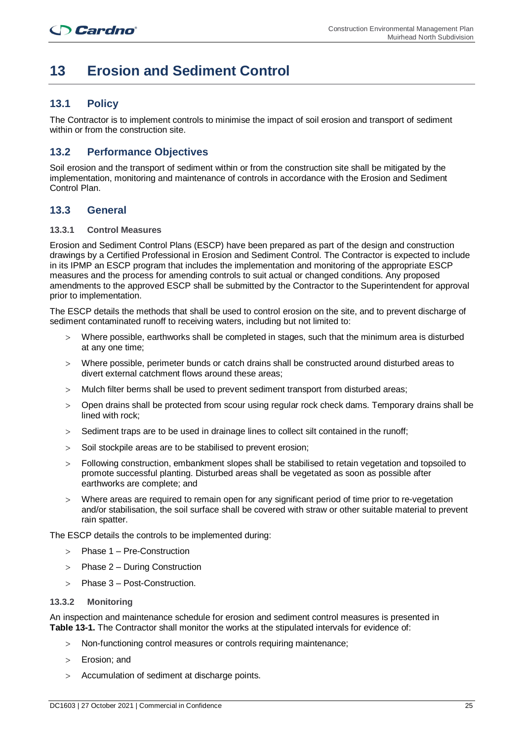## **13 Erosion and Sediment Control**

## **13.1 Policy**

The Contractor is to implement controls to minimise the impact of soil erosion and transport of sediment within or from the construction site.

### **13.2 Performance Objectives**

Soil erosion and the transport of sediment within or from the construction site shall be mitigated by the implementation, monitoring and maintenance of controls in accordance with the Erosion and Sediment Control Plan.

### **13.3 General**

#### **13.3.1 Control Measures**

Erosion and Sediment Control Plans (ESCP) have been prepared as part of the design and construction drawings by a Certified Professional in Erosion and Sediment Control. The Contractor is expected to include in its IPMP an ESCP program that includes the implementation and monitoring of the appropriate ESCP measures and the process for amending controls to suit actual or changed conditions. Any proposed amendments to the approved ESCP shall be submitted by the Contractor to the Superintendent for approval prior to implementation.

The ESCP details the methods that shall be used to control erosion on the site, and to prevent discharge of sediment contaminated runoff to receiving waters, including but not limited to:

- > Where possible, earthworks shall be completed in stages, such that the minimum area is disturbed at any one time;
- > Where possible, perimeter bunds or catch drains shall be constructed around disturbed areas to divert external catchment flows around these areas;
- > Mulch filter berms shall be used to prevent sediment transport from disturbed areas;
- > Open drains shall be protected from scour using regular rock check dams. Temporary drains shall be lined with rock;
- $>$  Sediment traps are to be used in drainage lines to collect silt contained in the runoff:
- > Soil stockpile areas are to be stabilised to prevent erosion;
- > Following construction, embankment slopes shall be stabilised to retain vegetation and topsoiled to promote successful planting. Disturbed areas shall be vegetated as soon as possible after earthworks are complete; and
- > Where areas are required to remain open for any significant period of time prior to re-vegetation and/or stabilisation, the soil surface shall be covered with straw or other suitable material to prevent rain spatter.

The ESCP details the controls to be implemented during:

- > Phase 1 Pre-Construction
- > Phase 2 During Construction
- > Phase 3 Post-Construction.

#### **13.3.2 Monitoring**

An inspection and maintenance schedule for erosion and sediment control measures is presented in **Table 13-1.** The Contractor shall monitor the works at the stipulated intervals for evidence of:

- Non-functioning control measures or controls requiring maintenance;
- > Erosion; and
- > Accumulation of sediment at discharge points.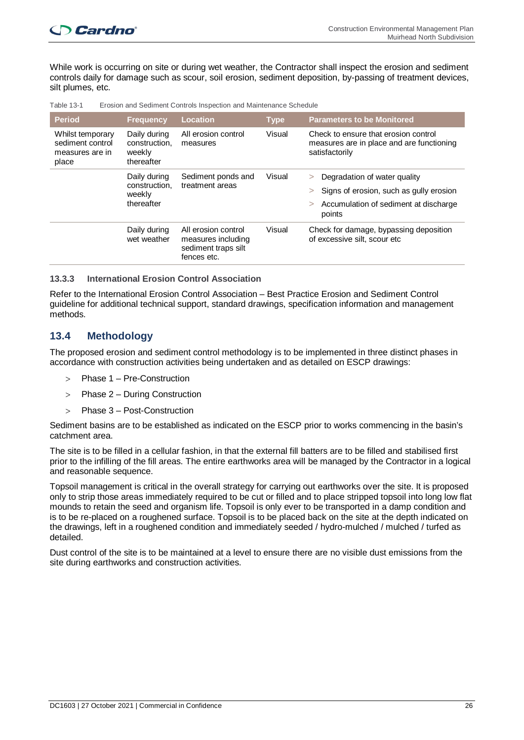While work is occurring on site or during wet weather, the Contractor shall inspect the erosion and sediment controls daily for damage such as scour, soil erosion, sediment deposition, by-passing of treatment devices, silt plumes, etc.

| <b>Period</b>                                                    | <b>Frequency</b>                                      | <b>Location</b>                                                                 | <b>Type</b> | <b>Parameters to be Monitored</b>                                                                                                                        |
|------------------------------------------------------------------|-------------------------------------------------------|---------------------------------------------------------------------------------|-------------|----------------------------------------------------------------------------------------------------------------------------------------------------------|
| Whilst temporary<br>sediment control<br>measures are in<br>place | Daily during<br>construction.<br>weekly<br>thereafter | All erosion control<br>measures                                                 | Visual      | Check to ensure that erosion control<br>measures are in place and are functioning<br>satisfactorily                                                      |
|                                                                  | Daily during<br>construction.<br>weekly<br>thereafter | Sediment ponds and<br>treatment areas                                           | Visual      | Degradation of water quality<br>$\geq$<br>Signs of erosion, such as gully erosion<br>$\geq$<br>Accumulation of sediment at discharge<br>$\geq$<br>points |
|                                                                  | Daily during<br>wet weather                           | All erosion control<br>measures including<br>sediment traps silt<br>fences etc. | Visual      | Check for damage, bypassing deposition<br>of excessive silt, scour etc                                                                                   |

Table 13-1 Erosion and Sediment Controls Inspection and Maintenance Schedule

#### **13.3.3 International Erosion Control Association**

Refer to the International Erosion Control Association – Best Practice Erosion and Sediment Control guideline for additional technical support, standard drawings, specification information and management methods.

#### **13.4 Methodology**

The proposed erosion and sediment control methodology is to be implemented in three distinct phases in accordance with construction activities being undertaken and as detailed on ESCP drawings:

- Phase 1 Pre-Construction
- > Phase 2 During Construction
- > Phase 3 Post-Construction

Sediment basins are to be established as indicated on the ESCP prior to works commencing in the basin's catchment area.

The site is to be filled in a cellular fashion, in that the external fill batters are to be filled and stabilised first prior to the infilling of the fill areas. The entire earthworks area will be managed by the Contractor in a logical and reasonable sequence.

Topsoil management is critical in the overall strategy for carrying out earthworks over the site. It is proposed only to strip those areas immediately required to be cut or filled and to place stripped topsoil into long low flat mounds to retain the seed and organism life. Topsoil is only ever to be transported in a damp condition and is to be re-placed on a roughened surface. Topsoil is to be placed back on the site at the depth indicated on the drawings, left in a roughened condition and immediately seeded / hydro-mulched / mulched / turfed as detailed.

Dust control of the site is to be maintained at a level to ensure there are no visible dust emissions from the site during earthworks and construction activities.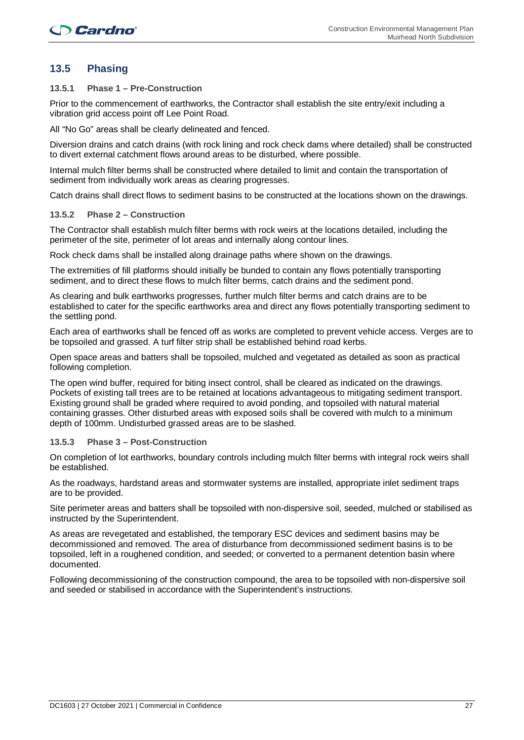## **13.5 Phasing**

#### **13.5.1 Phase 1 – Pre-Construction**

Prior to the commencement of earthworks, the Contractor shall establish the site entry/exit including a vibration grid access point off Lee Point Road.

All "No Go" areas shall be clearly delineated and fenced.

Diversion drains and catch drains (with rock lining and rock check dams where detailed) shall be constructed to divert external catchment flows around areas to be disturbed, where possible.

Internal mulch filter berms shall be constructed where detailed to limit and contain the transportation of sediment from individually work areas as clearing progresses.

Catch drains shall direct flows to sediment basins to be constructed at the locations shown on the drawings.

#### **13.5.2 Phase 2 – Construction**

The Contractor shall establish mulch filter berms with rock weirs at the locations detailed, including the perimeter of the site, perimeter of lot areas and internally along contour lines.

Rock check dams shall be installed along drainage paths where shown on the drawings.

The extremities of fill platforms should initially be bunded to contain any flows potentially transporting sediment, and to direct these flows to mulch filter berms, catch drains and the sediment pond.

As clearing and bulk earthworks progresses, further mulch filter berms and catch drains are to be established to cater for the specific earthworks area and direct any flows potentially transporting sediment to the settling pond.

Each area of earthworks shall be fenced off as works are completed to prevent vehicle access. Verges are to be topsoiled and grassed. A turf filter strip shall be established behind road kerbs.

Open space areas and batters shall be topsoiled, mulched and vegetated as detailed as soon as practical following completion.

The open wind buffer, required for biting insect control, shall be cleared as indicated on the drawings. Pockets of existing tall trees are to be retained at locations advantageous to mitigating sediment transport. Existing ground shall be graded where required to avoid ponding, and topsoiled with natural material containing grasses. Other disturbed areas with exposed soils shall be covered with mulch to a minimum depth of 100mm. Undisturbed grassed areas are to be slashed.

#### **13.5.3 Phase 3 – Post-Construction**

On completion of lot earthworks, boundary controls including mulch filter berms with integral rock weirs shall be established.

As the roadways, hardstand areas and stormwater systems are installed, appropriate inlet sediment traps are to be provided.

Site perimeter areas and batters shall be topsoiled with non-dispersive soil, seeded, mulched or stabilised as instructed by the Superintendent.

As areas are revegetated and established, the temporary ESC devices and sediment basins may be decommissioned and removed. The area of disturbance from decommissioned sediment basins is to be topsoiled, left in a roughened condition, and seeded; or converted to a permanent detention basin where documented.

Following decommissioning of the construction compound, the area to be topsoiled with non-dispersive soil and seeded or stabilised in accordance with the Superintendent's instructions.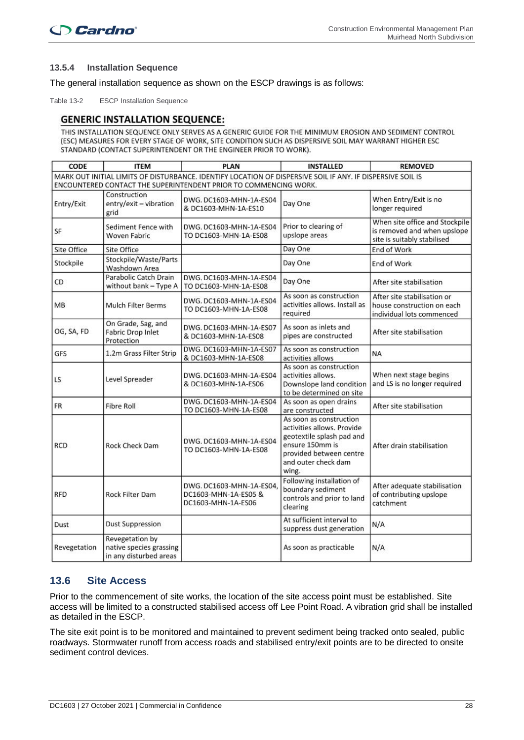#### **13.5.4 Installation Sequence**

The general installation sequence as shown on the ESCP drawings is as follows:

Table 13-2 ESCP Installation Sequence

#### **GENERIC INSTALLATION SEQUENCE:**

THIS INSTALLATION SEQUENCE ONLY SERVES AS A GENERIC GUIDE FOR THE MINIMUM EROSION AND SEDIMENT CONTROL (ESC) MEASURES FOR EVERY STAGE OF WORK, SITE CONDITION SUCH AS DISPERSIVE SOIL MAY WARRANT HIGHER ESC STANDARD (CONTACT SUPERINTENDENT OR THE ENGINEER PRIOR TO WORK).

| CODE         | <b>ITEM</b>                                                          | <b>PLAN</b>                                                                                                                                                                    | <b>INSTALLED</b>                                                                                                                                                 | <b>REMOVED</b>                                                                               |
|--------------|----------------------------------------------------------------------|--------------------------------------------------------------------------------------------------------------------------------------------------------------------------------|------------------------------------------------------------------------------------------------------------------------------------------------------------------|----------------------------------------------------------------------------------------------|
|              |                                                                      | MARK OUT INITIAL LIMITS OF DISTURBANCE. IDENTIFY LOCATION OF DISPERSIVE SOIL IF ANY. IF DISPERSIVE SOIL IS<br>ENCOUNTERED CONTACT THE SUPERINTENDENT PRIOR TO COMMENCING WORK. |                                                                                                                                                                  |                                                                                              |
| Entry/Exit   | Construction<br>entry/exit - vibration<br>grid                       | DWG. DC1603-MHN-1A-ES04<br>& DC1603-MHN-1A-ES10                                                                                                                                | Day One                                                                                                                                                          | When Entry/Exit is no<br>longer required                                                     |
| SF           | Sediment Fence with<br><b>Woven Fabric</b>                           | DWG. DC1603-MHN-1A-ES04<br>TO DC1603-MHN-1A-ES08                                                                                                                               | Prior to clearing of<br>upslope areas                                                                                                                            | When site office and Stockpile<br>is removed and when upslope<br>site is suitably stabilised |
| Site Office  | Site Office                                                          |                                                                                                                                                                                | Day One                                                                                                                                                          | End of Work                                                                                  |
| Stockpile    | Stockpile/Waste/Parts<br>Washdown Area                               |                                                                                                                                                                                | Day One                                                                                                                                                          | End of Work                                                                                  |
| CD           | Parabolic Catch Drain<br>without bank - Type A                       | DWG. DC1603-MHN-1A-ES04<br>TO DC1603-MHN-1A-ES08                                                                                                                               | Day One                                                                                                                                                          | After site stabilisation                                                                     |
| MB           | <b>Mulch Filter Berms</b>                                            | DWG. DC1603-MHN-1A-ES04<br>TO DC1603-MHN-1A-ES08                                                                                                                               | As soon as construction<br>activities allows. Install as<br>required                                                                                             | After site stabilisation or<br>house construction on each<br>individual lots commenced       |
| OG, SA, FD   | On Grade, Sag, and<br><b>Fabric Drop Inlet</b><br>Protection         | DWG. DC1603-MHN-1A-ES07<br>& DC1603-MHN-1A-ES08                                                                                                                                | As soon as inlets and<br>pipes are constructed                                                                                                                   | After site stabilisation                                                                     |
| GFS          | 1.2m Grass Filter Strip                                              | DWG. DC1603-MHN-1A-ES07<br>& DC1603-MHN-1A-ES08                                                                                                                                | As soon as construction<br>activities allows                                                                                                                     | NA                                                                                           |
| LS.          | Level Spreader                                                       | DWG. DC1603-MHN-1A-ES04<br>& DC1603-MHN-1A-ES06                                                                                                                                | As soon as construction<br>activities allows.<br>Downslope land condition<br>to be determined on site                                                            | When next stage begins<br>and LS is no longer required                                       |
| <b>FR</b>    | <b>Fibre Roll</b>                                                    | DWG. DC1603-MHN-1A-ES04<br>TO DC1603-MHN-1A-ES08                                                                                                                               | As soon as open drains<br>are constructed                                                                                                                        | After site stabilisation                                                                     |
| <b>RCD</b>   | Rock Check Dam                                                       | DWG. DC1603-MHN-1A-ES04<br>TO DC1603-MHN-1A-ES08                                                                                                                               | As soon as construction<br>activities allows. Provide<br>geotextile splash pad and<br>ensure 150mm is<br>provided between centre<br>and outer check dam<br>wing. | After drain stabilisation                                                                    |
| <b>RFD</b>   | Rock Filter Dam                                                      | DWG. DC1603-MHN-1A-ES04.<br>DC1603-MHN-1A-ES05 &<br>DC1603-MHN-1A-ES06                                                                                                         | Following installation of<br>boundary sediment<br>controls and prior to land<br>clearing                                                                         | After adequate stabilisation<br>of contributing upslope<br>catchment                         |
| Dust         | <b>Dust Suppression</b>                                              |                                                                                                                                                                                | At sufficient interval to<br>suppress dust generation                                                                                                            | N/A                                                                                          |
| Revegetation | Revegetation by<br>native species grassing<br>in any disturbed areas |                                                                                                                                                                                | As soon as practicable                                                                                                                                           | N/A                                                                                          |

### **13.6 Site Access**

Prior to the commencement of site works, the location of the site access point must be established. Site access will be limited to a constructed stabilised access off Lee Point Road. A vibration grid shall be installed as detailed in the ESCP.

The site exit point is to be monitored and maintained to prevent sediment being tracked onto sealed, public roadways. Stormwater runoff from access roads and stabilised entry/exit points are to be directed to onsite sediment control devices.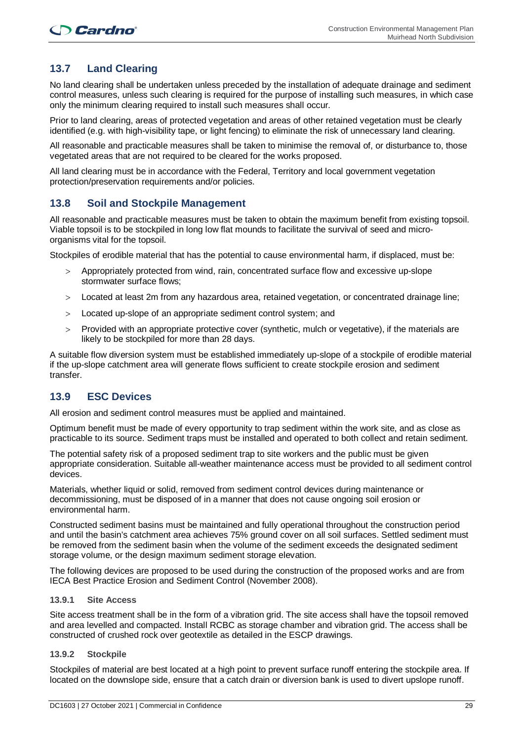## **13.7 Land Clearing**

No land clearing shall be undertaken unless preceded by the installation of adequate drainage and sediment control measures, unless such clearing is required for the purpose of installing such measures, in which case only the minimum clearing required to install such measures shall occur.

Prior to land clearing, areas of protected vegetation and areas of other retained vegetation must be clearly identified (e.g. with high-visibility tape, or light fencing) to eliminate the risk of unnecessary land clearing.

All reasonable and practicable measures shall be taken to minimise the removal of, or disturbance to, those vegetated areas that are not required to be cleared for the works proposed.

All land clearing must be in accordance with the Federal, Territory and local government vegetation protection/preservation requirements and/or policies.

#### **13.8 Soil and Stockpile Management**

All reasonable and practicable measures must be taken to obtain the maximum benefit from existing topsoil. Viable topsoil is to be stockpiled in long low flat mounds to facilitate the survival of seed and microorganisms vital for the topsoil.

Stockpiles of erodible material that has the potential to cause environmental harm, if displaced, must be:

- > Appropriately protected from wind, rain, concentrated surface flow and excessive up-slope stormwater surface flows;
- > Located at least 2m from any hazardous area, retained vegetation, or concentrated drainage line;
- > Located up-slope of an appropriate sediment control system; and
- > Provided with an appropriate protective cover (synthetic, mulch or vegetative), if the materials are likely to be stockpiled for more than 28 days.

A suitable flow diversion system must be established immediately up-slope of a stockpile of erodible material if the up-slope catchment area will generate flows sufficient to create stockpile erosion and sediment transfer.

### **13.9 ESC Devices**

All erosion and sediment control measures must be applied and maintained.

Optimum benefit must be made of every opportunity to trap sediment within the work site, and as close as practicable to its source. Sediment traps must be installed and operated to both collect and retain sediment.

The potential safety risk of a proposed sediment trap to site workers and the public must be given appropriate consideration. Suitable all-weather maintenance access must be provided to all sediment control devices.

Materials, whether liquid or solid, removed from sediment control devices during maintenance or decommissioning, must be disposed of in a manner that does not cause ongoing soil erosion or environmental harm.

Constructed sediment basins must be maintained and fully operational throughout the construction period and until the basin's catchment area achieves 75% ground cover on all soil surfaces. Settled sediment must be removed from the sediment basin when the volume of the sediment exceeds the designated sediment storage volume, or the design maximum sediment storage elevation.

The following devices are proposed to be used during the construction of the proposed works and are from IECA Best Practice Erosion and Sediment Control (November 2008).

#### **13.9.1 Site Access**

Site access treatment shall be in the form of a vibration grid. The site access shall have the topsoil removed and area levelled and compacted. Install RCBC as storage chamber and vibration grid. The access shall be constructed of crushed rock over geotextile as detailed in the ESCP drawings.

#### **13.9.2 Stockpile**

Stockpiles of material are best located at a high point to prevent surface runoff entering the stockpile area. If located on the downslope side, ensure that a catch drain or diversion bank is used to divert upslope runoff.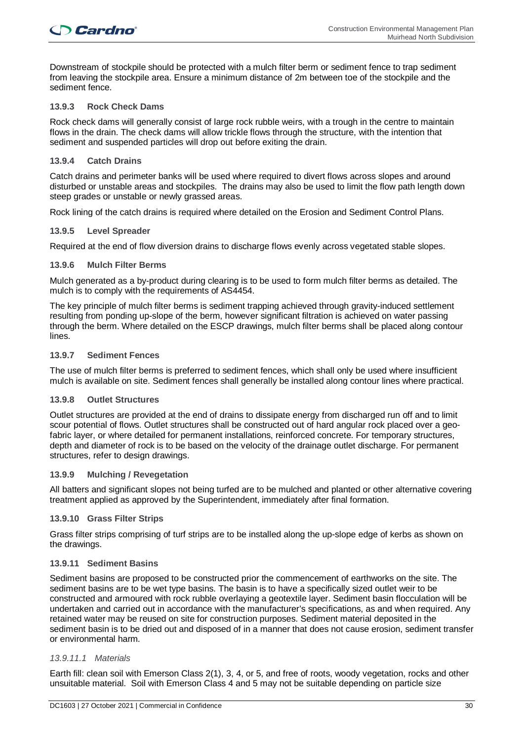Downstream of stockpile should be protected with a mulch filter berm or sediment fence to trap sediment from leaving the stockpile area. Ensure a minimum distance of 2m between toe of the stockpile and the sediment fence.

#### **13.9.3 Rock Check Dams**

Rock check dams will generally consist of large rock rubble weirs, with a trough in the centre to maintain flows in the drain. The check dams will allow trickle flows through the structure, with the intention that sediment and suspended particles will drop out before exiting the drain.

#### **13.9.4 Catch Drains**

Catch drains and perimeter banks will be used where required to divert flows across slopes and around disturbed or unstable areas and stockpiles. The drains may also be used to limit the flow path length down steep grades or unstable or newly grassed areas.

Rock lining of the catch drains is required where detailed on the Erosion and Sediment Control Plans.

#### **13.9.5 Level Spreader**

Required at the end of flow diversion drains to discharge flows evenly across vegetated stable slopes.

#### **13.9.6 Mulch Filter Berms**

Mulch generated as a by-product during clearing is to be used to form mulch filter berms as detailed. The mulch is to comply with the requirements of AS4454.

The key principle of mulch filter berms is sediment trapping achieved through gravity-induced settlement resulting from ponding up-slope of the berm, however significant filtration is achieved on water passing through the berm. Where detailed on the ESCP drawings, mulch filter berms shall be placed along contour lines.

#### **13.9.7 Sediment Fences**

The use of mulch filter berms is preferred to sediment fences, which shall only be used where insufficient mulch is available on site. Sediment fences shall generally be installed along contour lines where practical.

#### **13.9.8 Outlet Structures**

Outlet structures are provided at the end of drains to dissipate energy from discharged run off and to limit scour potential of flows. Outlet structures shall be constructed out of hard angular rock placed over a geofabric layer, or where detailed for permanent installations, reinforced concrete. For temporary structures, depth and diameter of rock is to be based on the velocity of the drainage outlet discharge. For permanent structures, refer to design drawings.

#### **13.9.9 Mulching / Revegetation**

All batters and significant slopes not being turfed are to be mulched and planted or other alternative covering treatment applied as approved by the Superintendent, immediately after final formation.

#### **13.9.10 Grass Filter Strips**

Grass filter strips comprising of turf strips are to be installed along the up-slope edge of kerbs as shown on the drawings.

#### **13.9.11 Sediment Basins**

Sediment basins are proposed to be constructed prior the commencement of earthworks on the site. The sediment basins are to be wet type basins. The basin is to have a specifically sized outlet weir to be constructed and armoured with rock rubble overlaying a geotextile layer. Sediment basin flocculation will be undertaken and carried out in accordance with the manufacturer's specifications, as and when required. Any retained water may be reused on site for construction purposes. Sediment material deposited in the sediment basin is to be dried out and disposed of in a manner that does not cause erosion, sediment transfer or environmental harm.

#### *13.9.11.1 Materials*

Earth fill: clean soil with Emerson Class 2(1), 3, 4, or 5, and free of roots, woody vegetation, rocks and other unsuitable material. Soil with Emerson Class 4 and 5 may not be suitable depending on particle size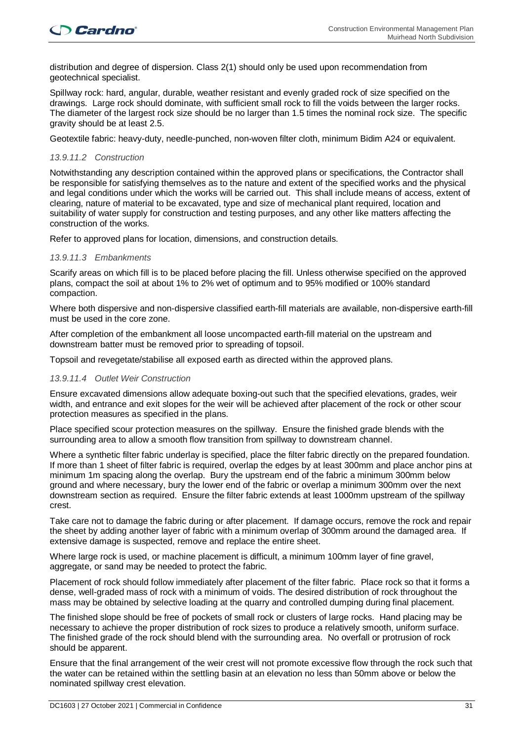distribution and degree of dispersion. Class 2(1) should only be used upon recommendation from geotechnical specialist.

Spillway rock: hard, angular, durable, weather resistant and evenly graded rock of size specified on the drawings. Large rock should dominate, with sufficient small rock to fill the voids between the larger rocks. The diameter of the largest rock size should be no larger than 1.5 times the nominal rock size. The specific gravity should be at least 2.5.

Geotextile fabric: heavy-duty, needle-punched, non-woven filter cloth, minimum Bidim A24 or equivalent.

#### *13.9.11.2 Construction*

Notwithstanding any description contained within the approved plans or specifications, the Contractor shall be responsible for satisfying themselves as to the nature and extent of the specified works and the physical and legal conditions under which the works will be carried out. This shall include means of access, extent of clearing, nature of material to be excavated, type and size of mechanical plant required, location and suitability of water supply for construction and testing purposes, and any other like matters affecting the construction of the works.

Refer to approved plans for location, dimensions, and construction details.

#### *13.9.11.3 Embankments*

Scarify areas on which fill is to be placed before placing the fill. Unless otherwise specified on the approved plans, compact the soil at about 1% to 2% wet of optimum and to 95% modified or 100% standard compaction.

Where both dispersive and non-dispersive classified earth-fill materials are available, non-dispersive earth-fill must be used in the core zone.

After completion of the embankment all loose uncompacted earth-fill material on the upstream and downstream batter must be removed prior to spreading of topsoil.

Topsoil and revegetate/stabilise all exposed earth as directed within the approved plans.

#### *13.9.11.4 Outlet Weir Construction*

Ensure excavated dimensions allow adequate boxing-out such that the specified elevations, grades, weir width, and entrance and exit slopes for the weir will be achieved after placement of the rock or other scour protection measures as specified in the plans.

Place specified scour protection measures on the spillway. Ensure the finished grade blends with the surrounding area to allow a smooth flow transition from spillway to downstream channel.

Where a synthetic filter fabric underlay is specified, place the filter fabric directly on the prepared foundation. If more than 1 sheet of filter fabric is required, overlap the edges by at least 300mm and place anchor pins at minimum 1m spacing along the overlap. Bury the upstream end of the fabric a minimum 300mm below ground and where necessary, bury the lower end of the fabric or overlap a minimum 300mm over the next downstream section as required. Ensure the filter fabric extends at least 1000mm upstream of the spillway crest.

Take care not to damage the fabric during or after placement. If damage occurs, remove the rock and repair the sheet by adding another layer of fabric with a minimum overlap of 300mm around the damaged area. If extensive damage is suspected, remove and replace the entire sheet.

Where large rock is used, or machine placement is difficult, a minimum 100mm layer of fine gravel, aggregate, or sand may be needed to protect the fabric.

Placement of rock should follow immediately after placement of the filter fabric. Place rock so that it forms a dense, well-graded mass of rock with a minimum of voids. The desired distribution of rock throughout the mass may be obtained by selective loading at the quarry and controlled dumping during final placement.

The finished slope should be free of pockets of small rock or clusters of large rocks. Hand placing may be necessary to achieve the proper distribution of rock sizes to produce a relatively smooth, uniform surface. The finished grade of the rock should blend with the surrounding area. No overfall or protrusion of rock should be apparent.

Ensure that the final arrangement of the weir crest will not promote excessive flow through the rock such that the water can be retained within the settling basin at an elevation no less than 50mm above or below the nominated spillway crest elevation.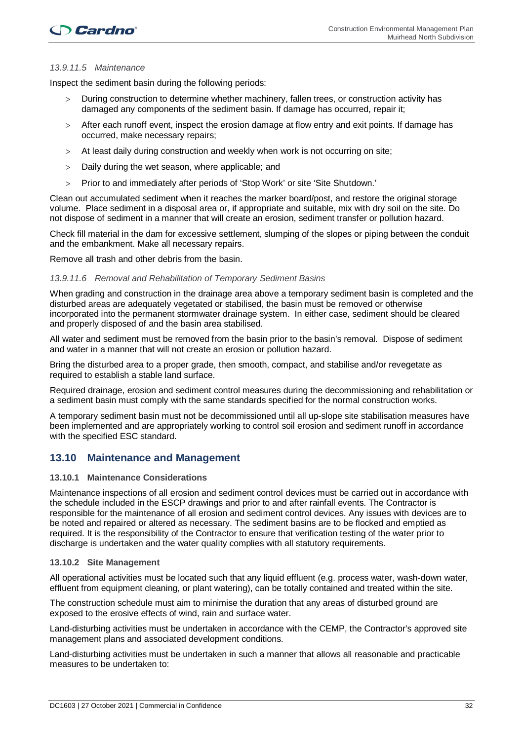#### *13.9.11.5 Maintenance*

Inspect the sediment basin during the following periods:

- > During construction to determine whether machinery, fallen trees, or construction activity has damaged any components of the sediment basin. If damage has occurred, repair it;
- > After each runoff event, inspect the erosion damage at flow entry and exit points. If damage has occurred, make necessary repairs;
- > At least daily during construction and weekly when work is not occurring on site;
- > Daily during the wet season, where applicable; and
- > Prior to and immediately after periods of 'Stop Work' or site 'Site Shutdown.'

Clean out accumulated sediment when it reaches the marker board/post, and restore the original storage volume. Place sediment in a disposal area or, if appropriate and suitable, mix with dry soil on the site. Do not dispose of sediment in a manner that will create an erosion, sediment transfer or pollution hazard.

Check fill material in the dam for excessive settlement, slumping of the slopes or piping between the conduit and the embankment. Make all necessary repairs.

Remove all trash and other debris from the basin.

#### *13.9.11.6 Removal and Rehabilitation of Temporary Sediment Basins*

When grading and construction in the drainage area above a temporary sediment basin is completed and the disturbed areas are adequately vegetated or stabilised, the basin must be removed or otherwise incorporated into the permanent stormwater drainage system. In either case, sediment should be cleared and properly disposed of and the basin area stabilised.

All water and sediment must be removed from the basin prior to the basin's removal. Dispose of sediment and water in a manner that will not create an erosion or pollution hazard.

Bring the disturbed area to a proper grade, then smooth, compact, and stabilise and/or revegetate as required to establish a stable land surface.

Required drainage, erosion and sediment control measures during the decommissioning and rehabilitation or a sediment basin must comply with the same standards specified for the normal construction works.

A temporary sediment basin must not be decommissioned until all up-slope site stabilisation measures have been implemented and are appropriately working to control soil erosion and sediment runoff in accordance with the specified ESC standard.

#### **13.10 Maintenance and Management**

#### **13.10.1 Maintenance Considerations**

Maintenance inspections of all erosion and sediment control devices must be carried out in accordance with the schedule included in the ESCP drawings and prior to and after rainfall events. The Contractor is responsible for the maintenance of all erosion and sediment control devices. Any issues with devices are to be noted and repaired or altered as necessary. The sediment basins are to be flocked and emptied as required. It is the responsibility of the Contractor to ensure that verification testing of the water prior to discharge is undertaken and the water quality complies with all statutory requirements.

#### **13.10.2 Site Management**

All operational activities must be located such that any liquid effluent (e.g. process water, wash-down water, effluent from equipment cleaning, or plant watering), can be totally contained and treated within the site.

The construction schedule must aim to minimise the duration that any areas of disturbed ground are exposed to the erosive effects of wind, rain and surface water.

Land-disturbing activities must be undertaken in accordance with the CEMP, the Contractor's approved site management plans and associated development conditions.

Land-disturbing activities must be undertaken in such a manner that allows all reasonable and practicable measures to be undertaken to: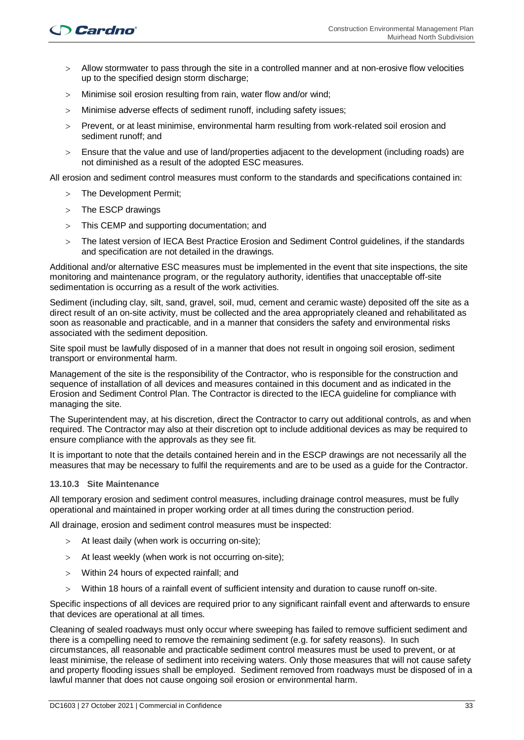- > Allow stormwater to pass through the site in a controlled manner and at non-erosive flow velocities up to the specified design storm discharge;
- > Minimise soil erosion resulting from rain, water flow and/or wind;
- > Minimise adverse effects of sediment runoff, including safety issues;
- > Prevent, or at least minimise, environmental harm resulting from work-related soil erosion and sediment runoff; and
- > Ensure that the value and use of land/properties adjacent to the development (including roads) are not diminished as a result of the adopted ESC measures.

All erosion and sediment control measures must conform to the standards and specifications contained in:

- > The Development Permit;
- > The ESCP drawings
- > This CEMP and supporting documentation; and
- > The latest version of IECA Best Practice Erosion and Sediment Control guidelines, if the standards and specification are not detailed in the drawings.

Additional and/or alternative ESC measures must be implemented in the event that site inspections, the site monitoring and maintenance program, or the regulatory authority, identifies that unacceptable off-site sedimentation is occurring as a result of the work activities.

Sediment (including clay, silt, sand, gravel, soil, mud, cement and ceramic waste) deposited off the site as a direct result of an on-site activity, must be collected and the area appropriately cleaned and rehabilitated as soon as reasonable and practicable, and in a manner that considers the safety and environmental risks associated with the sediment deposition.

Site spoil must be lawfully disposed of in a manner that does not result in ongoing soil erosion, sediment transport or environmental harm.

Management of the site is the responsibility of the Contractor, who is responsible for the construction and sequence of installation of all devices and measures contained in this document and as indicated in the Erosion and Sediment Control Plan. The Contractor is directed to the IECA guideline for compliance with managing the site.

The Superintendent may, at his discretion, direct the Contractor to carry out additional controls, as and when required. The Contractor may also at their discretion opt to include additional devices as may be required to ensure compliance with the approvals as they see fit.

It is important to note that the details contained herein and in the ESCP drawings are not necessarily all the measures that may be necessary to fulfil the requirements and are to be used as a guide for the Contractor.

#### **13.10.3 Site Maintenance**

All temporary erosion and sediment control measures, including drainage control measures, must be fully operational and maintained in proper working order at all times during the construction period.

All drainage, erosion and sediment control measures must be inspected:

- > At least daily (when work is occurring on-site);
- > At least weekly (when work is not occurring on-site);
- > Within 24 hours of expected rainfall; and
- > Within 18 hours of a rainfall event of sufficient intensity and duration to cause runoff on-site.

Specific inspections of all devices are required prior to any significant rainfall event and afterwards to ensure that devices are operational at all times.

Cleaning of sealed roadways must only occur where sweeping has failed to remove sufficient sediment and there is a compelling need to remove the remaining sediment (e.g. for safety reasons). In such circumstances, all reasonable and practicable sediment control measures must be used to prevent, or at least minimise, the release of sediment into receiving waters. Only those measures that will not cause safety and property flooding issues shall be employed. Sediment removed from roadways must be disposed of in a lawful manner that does not cause ongoing soil erosion or environmental harm.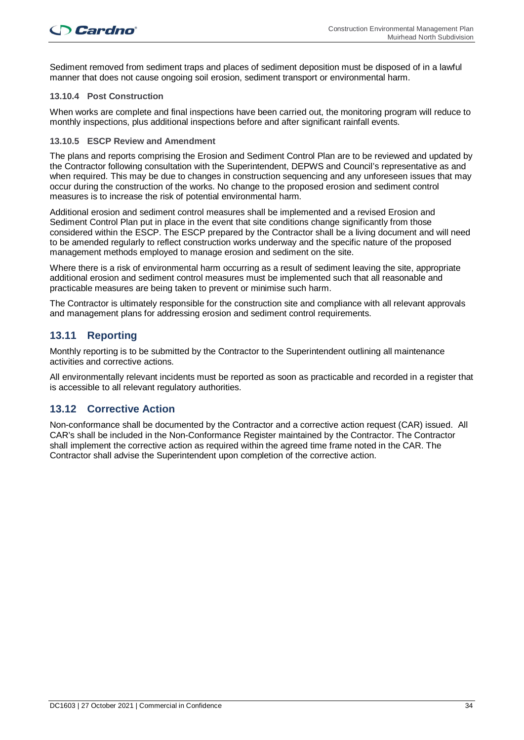Sediment removed from sediment traps and places of sediment deposition must be disposed of in a lawful manner that does not cause ongoing soil erosion, sediment transport or environmental harm.

#### **13.10.4 Post Construction**

When works are complete and final inspections have been carried out, the monitoring program will reduce to monthly inspections, plus additional inspections before and after significant rainfall events.

#### **13.10.5 ESCP Review and Amendment**

The plans and reports comprising the Erosion and Sediment Control Plan are to be reviewed and updated by the Contractor following consultation with the Superintendent, DEPWS and Council's representative as and when required. This may be due to changes in construction sequencing and any unforeseen issues that may occur during the construction of the works. No change to the proposed erosion and sediment control measures is to increase the risk of potential environmental harm.

Additional erosion and sediment control measures shall be implemented and a revised Erosion and Sediment Control Plan put in place in the event that site conditions change significantly from those considered within the ESCP. The ESCP prepared by the Contractor shall be a living document and will need to be amended regularly to reflect construction works underway and the specific nature of the proposed management methods employed to manage erosion and sediment on the site.

Where there is a risk of environmental harm occurring as a result of sediment leaving the site, appropriate additional erosion and sediment control measures must be implemented such that all reasonable and practicable measures are being taken to prevent or minimise such harm.

The Contractor is ultimately responsible for the construction site and compliance with all relevant approvals and management plans for addressing erosion and sediment control requirements.

### **13.11 Reporting**

Monthly reporting is to be submitted by the Contractor to the Superintendent outlining all maintenance activities and corrective actions.

All environmentally relevant incidents must be reported as soon as practicable and recorded in a register that is accessible to all relevant regulatory authorities.

### **13.12 Corrective Action**

Non-conformance shall be documented by the Contractor and a corrective action request (CAR) issued. All CAR's shall be included in the Non-Conformance Register maintained by the Contractor. The Contractor shall implement the corrective action as required within the agreed time frame noted in the CAR. The Contractor shall advise the Superintendent upon completion of the corrective action.